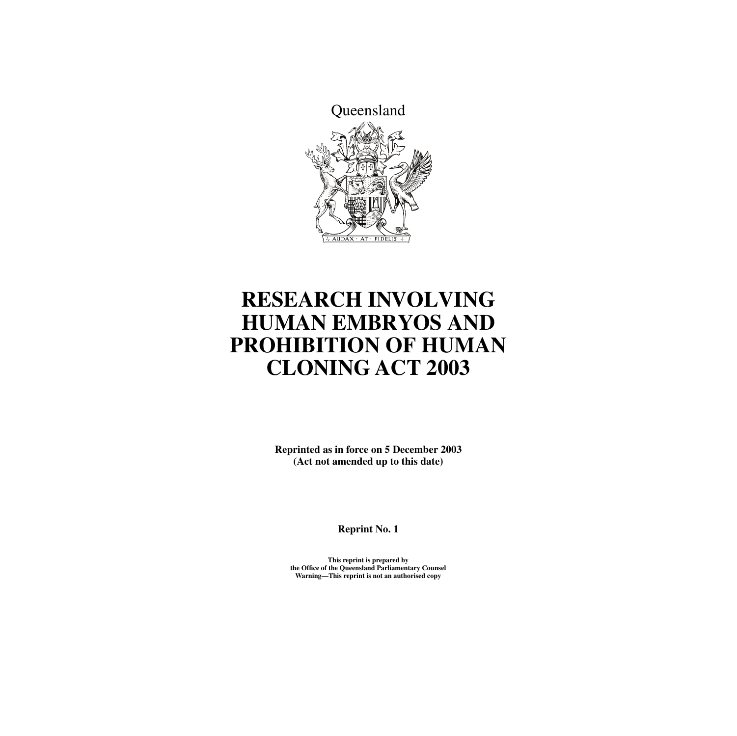

# **RESEARCH INVOLVING HUMAN EMBRYOS AND PROHIBITION OF HUMAN CLONING ACT 2003**

**Reprinted as in force on 5 December 2003 (Act not amended up to this date)**

**Reprint No. 1**

**This reprint is prepared by the Office of the Queensland Parliamentary Counsel Warning—This reprint is not an authorised copy**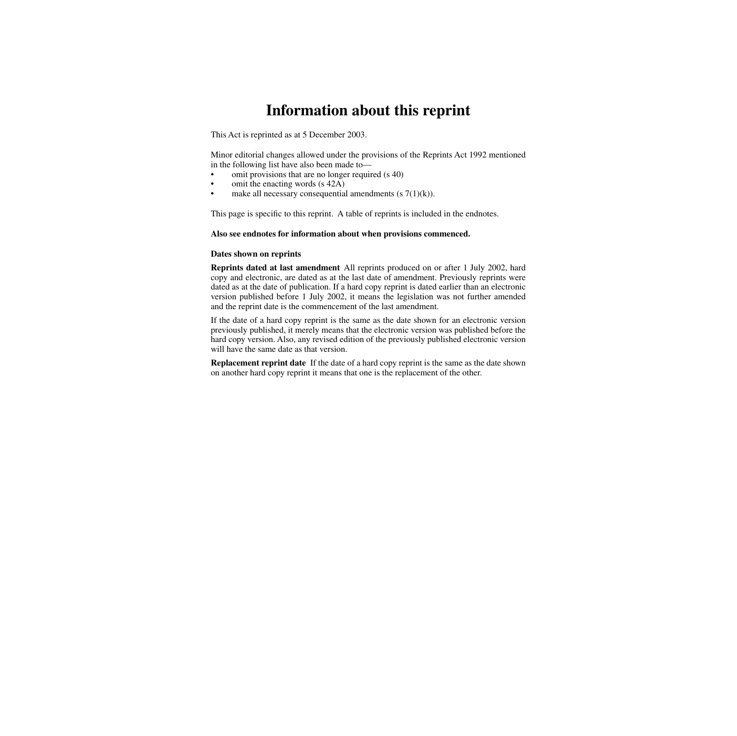## **Information about this reprint**

This Act is reprinted as at 5 December 2003.

Minor editorial changes allowed under the provisions of the Reprints Act 1992 mentioned in the following list have also been made to—

- omit provisions that are no longer required (s 40)
- omit the enacting words (s 42A)
- make all necessary consequential amendments  $(s \, 7(1)(k))$ .

This page is specific to this reprint. A table of reprints is included in the endnotes.

#### **Also see endnotes for information about when provisions commenced.**

#### **Dates shown on reprints**

**Reprints dated at last amendment** All reprints produced on or after 1 July 2002, hard copy and electronic, are dated as at the last date of amendment. Previously reprints were dated as at the date of publication. If a hard copy reprint is dated earlier than an electronic version published before 1 July 2002, it means the legislation was not further amended and the reprint date is the commencement of the last amendment.

If the date of a hard copy reprint is the same as the date shown for an electronic version previously published, it merely means that the electronic version was published before the hard copy version. Also, any revised edition of the previously published electronic version will have the same date as that version.

**Replacement reprint date** If the date of a hard copy reprint is the same as the date shown on another hard copy reprint it means that one is the replacement of the other.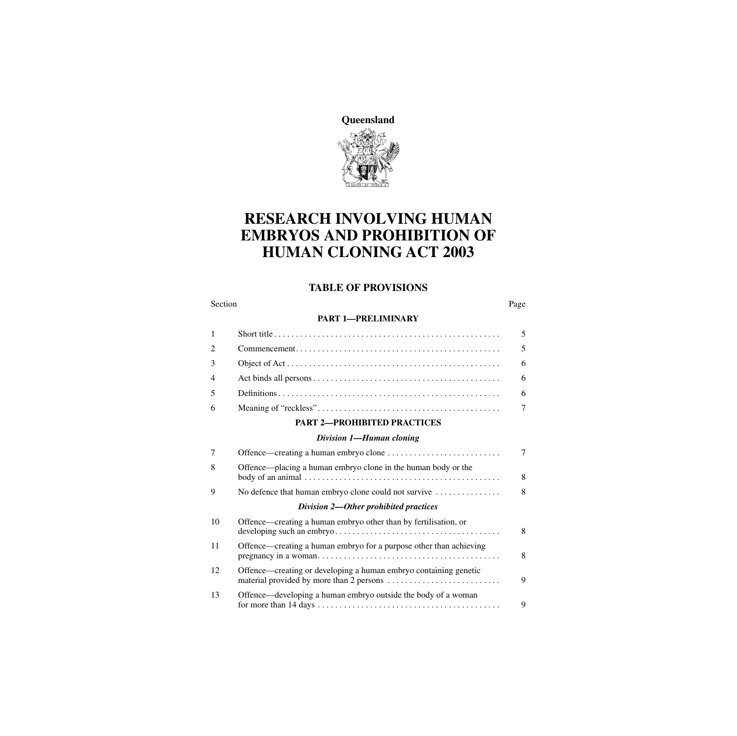**Queensland**



## **RESEARCH INVOLVING HUMAN EMBRYOS AND PROHIBITION OF HUMAN CLONING ACT 2003**

#### **TABLE OF PROVISIONS**

#### Section Page 2014 and the Section Page 2014 and the Section Page 2014 and the Section Page

#### **[PART 1—PRELIMINARY](#page-6-0)**

| <b>PART 2-PROHIBITED PRACTICES</b> |  |
|------------------------------------|--|

#### *[Division 1—Human cloning](#page-8-2)*

| 7  |                                                                                  | 7 |
|----|----------------------------------------------------------------------------------|---|
| 8  | Offence—placing a human embryo clone in the human body or the                    | 8 |
| 9  | No defence that human embryo clone could not survive $\dots\dots\dots\dots\dots$ | 8 |
|    | Division 2—Other prohibited practices                                            |   |
| 10 | Offence—creating a human embryo other than by fertilisation, or                  | 8 |
| 11 | Offence—creating a human embryo for a purpose other than achieving               | 8 |
| 12 | Offence—creating or developing a human embryo containing genetic                 | 9 |
| 13 | Offence—developing a human embryo outside the body of a woman                    | 9 |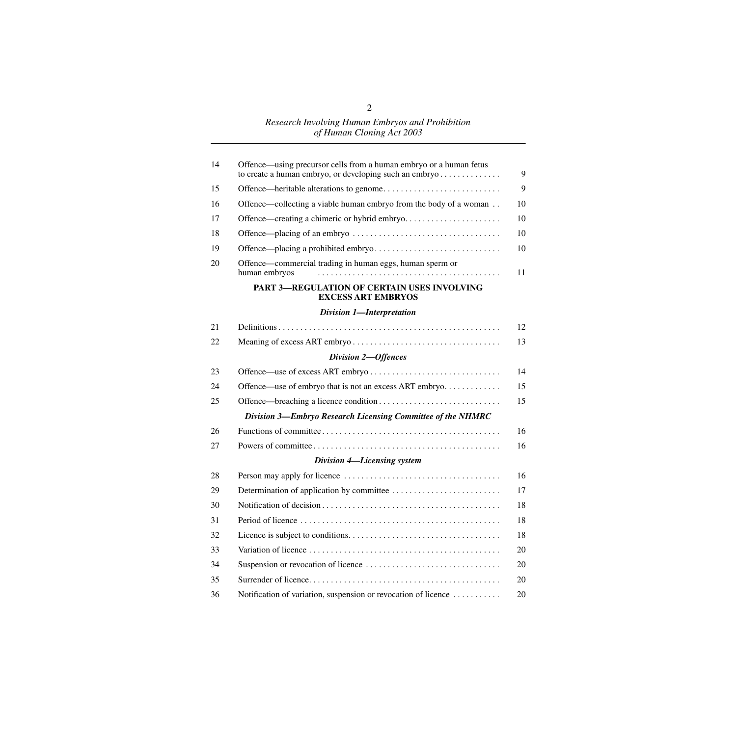| 14 | Offence—using precursor cells from a human embryo or a human fetus        | 9  |
|----|---------------------------------------------------------------------------|----|
| 15 |                                                                           | 9  |
| 16 | Offence—collecting a viable human embryo from the body of a woman         | 10 |
| 17 | Offence—creating a chimeric or hybrid embryo                              | 10 |
| 18 |                                                                           | 10 |
| 19 |                                                                           | 10 |
| 20 | Offence—commercial trading in human eggs, human sperm or<br>human embryos | 11 |
|    | PART 3-REGULATION OF CERTAIN USES INVOLVING<br><b>EXCESS ART EMBRYOS</b>  |    |
|    | Division 1-Interpretation                                                 |    |
| 21 |                                                                           | 12 |
| 22 |                                                                           | 13 |
|    | Division 2-Offences                                                       |    |
| 23 |                                                                           | 14 |
| 24 | Offence—use of embryo that is not an excess ART embryo                    | 15 |
| 25 |                                                                           | 15 |
|    | Division 3-Embryo Research Licensing Committee of the NHMRC               |    |
| 26 |                                                                           | 16 |
| 27 |                                                                           | 16 |
|    | Division 4-Licensing system                                               |    |
| 28 |                                                                           | 16 |
| 29 |                                                                           | 17 |
| 30 |                                                                           | 18 |
| 31 |                                                                           | 18 |
| 32 |                                                                           | 18 |
| 33 |                                                                           | 20 |
| 34 |                                                                           | 20 |
| 35 |                                                                           | 20 |
| 36 | Notification of variation, suspension or revocation of licence            | 20 |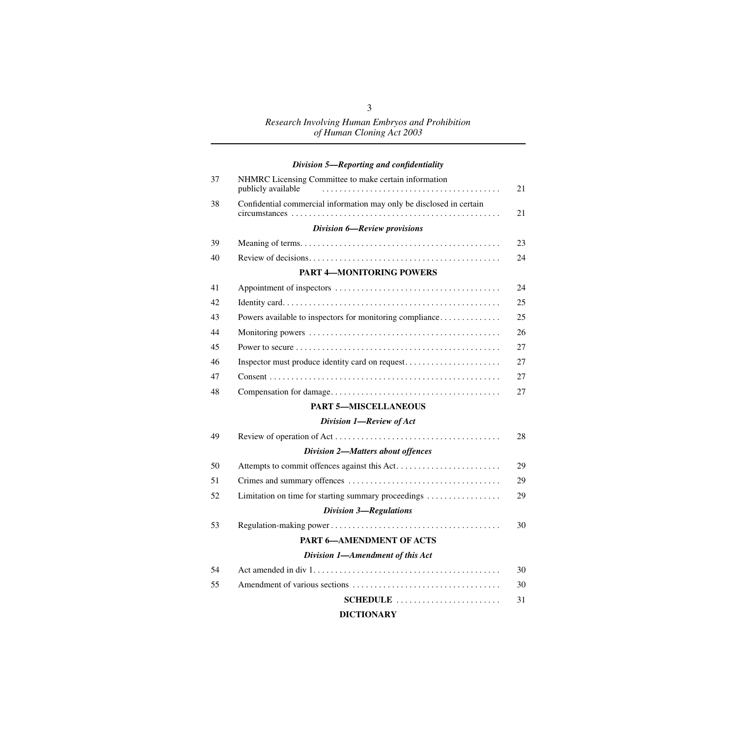|  | Division 5-Reporting and confidentiality |  |
|--|------------------------------------------|--|
|  |                                          |  |

| 37 | NHMRC Licensing Committee to make certain information<br>publicly available | 21 |
|----|-----------------------------------------------------------------------------|----|
| 38 | Confidential commercial information may only be disclosed in certain        | 21 |
|    | Division 6-Review provisions                                                |    |
| 39 |                                                                             | 23 |
| 40 |                                                                             | 24 |
|    | <b>PART 4-MONITORING POWERS</b>                                             |    |
| 41 |                                                                             | 24 |
| 42 |                                                                             | 25 |
| 43 | Powers available to inspectors for monitoring compliance                    | 25 |
| 44 |                                                                             | 26 |
| 45 |                                                                             | 27 |
| 46 | Inspector must produce identity card on request                             | 27 |
| 47 |                                                                             | 27 |
| 48 |                                                                             | 27 |
|    | <b>PART 5-MISCELLANEOUS</b>                                                 |    |
|    | Division 1-Review of Act                                                    |    |
| 49 |                                                                             | 28 |
|    | <b>Division 2-Matters about offences</b>                                    |    |
| 50 |                                                                             | 29 |
| 51 |                                                                             | 29 |
| 52 | Limitation on time for starting summary proceedings                         | 29 |
|    | <b>Division 3-Regulations</b>                                               |    |
| 53 |                                                                             | 30 |
|    | <b>PART 6-AMENDMENT OF ACTS</b>                                             |    |
|    | Division 1-Amendment of this Act                                            |    |
| 54 |                                                                             | 30 |
| 55 |                                                                             | 30 |
|    | SCHEDULE                                                                    | 31 |
|    | <b>DICTIONARY</b>                                                           |    |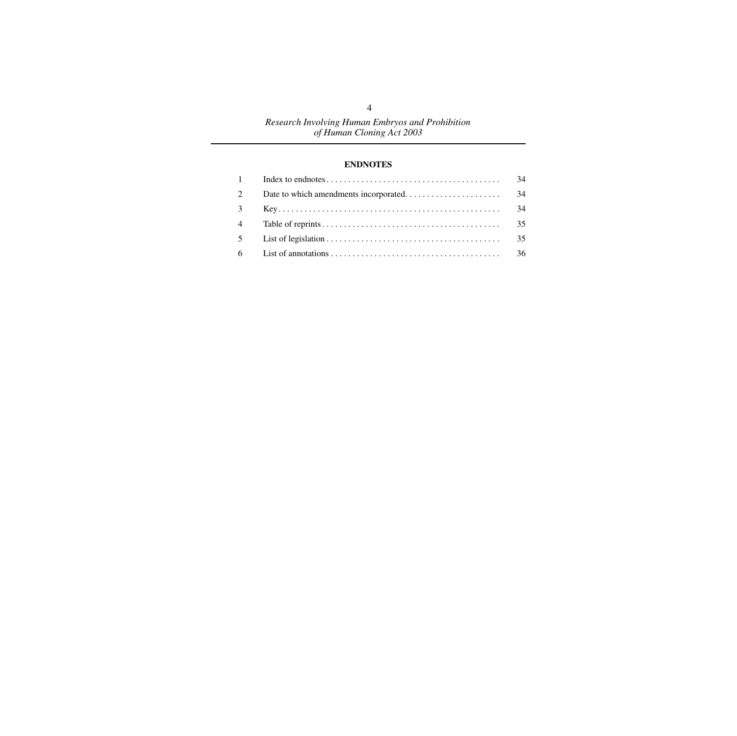#### **[ENDNOTES](#page-35-0)**

|                | 34 |
|----------------|----|
| 2              | 34 |
| $3^{\circ}$    | 34 |
| $\overline{4}$ | 35 |
| 5 <sup>5</sup> | 35 |
|                |    |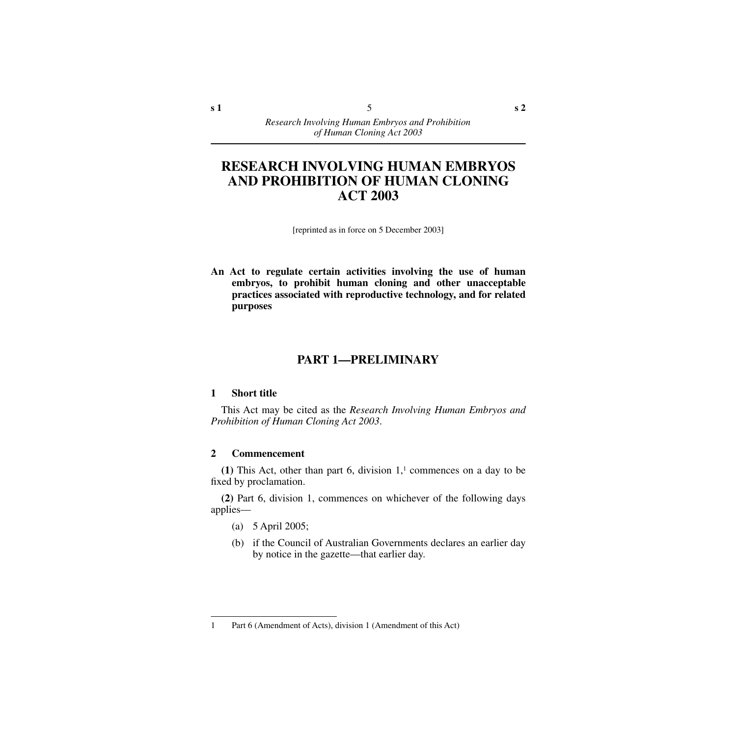## **RESEARCH INVOLVING HUMAN EMBRYOS AND PROHIBITION OF HUMAN CLONING ACT 2003**

[reprinted as in force on 5 December 2003]

**An Act to regulate certain activities involving the use of human embryos, to prohibit human cloning and other unacceptable practices associated with reproductive technology, and for related purposes**

## **PART 1—PRELIMINARY**

#### <span id="page-6-1"></span><span id="page-6-0"></span>**1 Short title**

This Act may be cited as the *Research Involving Human Embryos and Prohibition of Human Cloning Act 2003*.

#### <span id="page-6-2"></span>**2 Commencement**

**(1)** This Act, other than part 6, division  $1<sup>1</sup>$  commences on a day to be fixed by proclamation.

**(2)** Part 6, division 1, commences on whichever of the following days applies—

- (a) 5 April 2005;
- (b) if the Council of Australian Governments declares an earlier day by notice in the gazette—that earlier day.

<sup>1</sup> Part 6 (Amendment of Acts), division 1 (Amendment of this Act)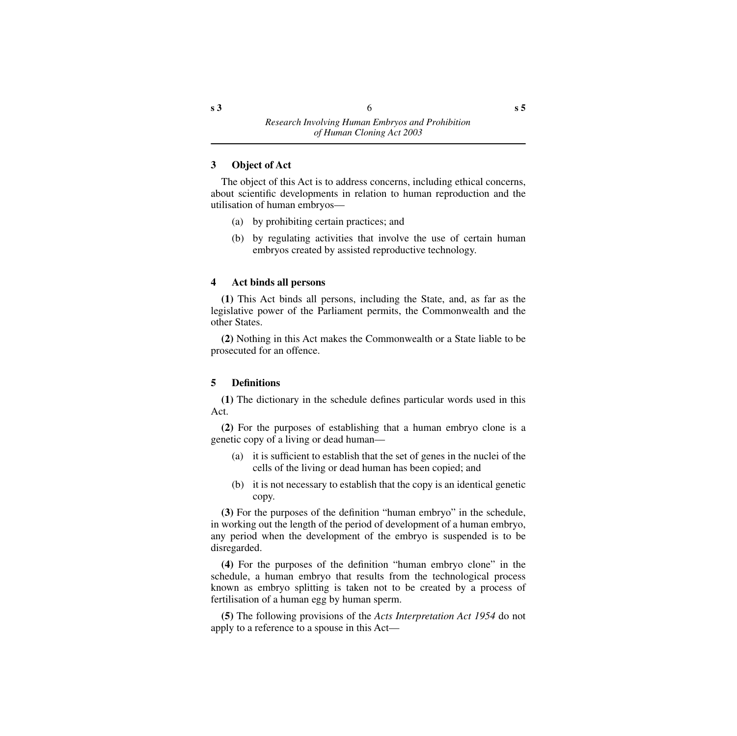#### <span id="page-7-0"></span>**3 Object of Act**

The object of this Act is to address concerns, including ethical concerns, about scientific developments in relation to human reproduction and the utilisation of human embryos—

- (a) by prohibiting certain practices; and
- (b) by regulating activities that involve the use of certain human embryos created by assisted reproductive technology.

#### <span id="page-7-1"></span>**4 Act binds all persons**

**(1)** This Act binds all persons, including the State, and, as far as the legislative power of the Parliament permits, the Commonwealth and the other States.

**(2)** Nothing in this Act makes the Commonwealth or a State liable to be prosecuted for an offence.

#### <span id="page-7-2"></span>**5 Definitions**

**(1)** The dictionary in the schedule defines particular words used in this Act.

**(2)** For the purposes of establishing that a human embryo clone is a genetic copy of a living or dead human—

- (a) it is sufficient to establish that the set of genes in the nuclei of the cells of the living or dead human has been copied; and
- (b) it is not necessary to establish that the copy is an identical genetic copy.

**(3)** For the purposes of the definition "human embryo" in the schedule, in working out the length of the period of development of a human embryo, any period when the development of the embryo is suspended is to be disregarded.

**(4)** For the purposes of the definition "human embryo clone" in the schedule, a human embryo that results from the technological process known as embryo splitting is taken not to be created by a process of fertilisation of a human egg by human sperm.

**(5)** The following provisions of the *Acts Interpretation Act 1954* do not apply to a reference to a spouse in this Act—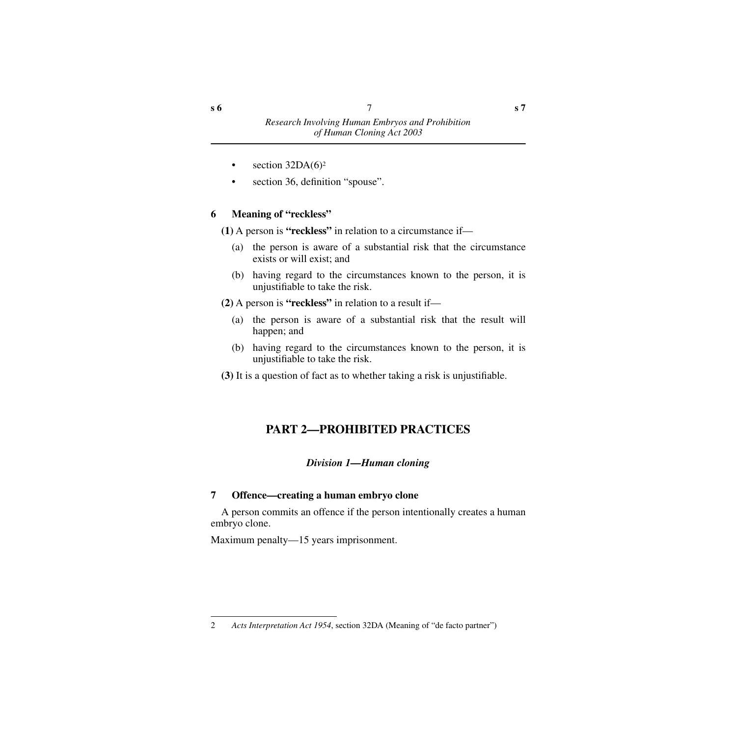- section  $32DA(6)^2$
- section 36, definition "spouse".

## <span id="page-8-0"></span>**6 Meaning of "reckless"**

**(1)** A person is **"reckless"** in relation to a circumstance if—

- (a) the person is aware of a substantial risk that the circumstance exists or will exist; and
- (b) having regard to the circumstances known to the person, it is unjustifiable to take the risk.

**(2)** A person is **"reckless"** in relation to a result if—

- (a) the person is aware of a substantial risk that the result will happen; and
- (b) having regard to the circumstances known to the person, it is unjustifiable to take the risk.
- <span id="page-8-1"></span>**(3)** It is a question of fact as to whether taking a risk is unjustifiable.

## **PART 2—PROHIBITED PRACTICES**

## *Division 1—Human cloning*

## <span id="page-8-3"></span><span id="page-8-2"></span>**7 Offence—creating a human embryo clone**

A person commits an offence if the person intentionally creates a human embryo clone.

Maximum penalty—15 years imprisonment.

<sup>2</sup> *Acts Interpretation Act 1954*, section 32DA (Meaning of "de facto partner")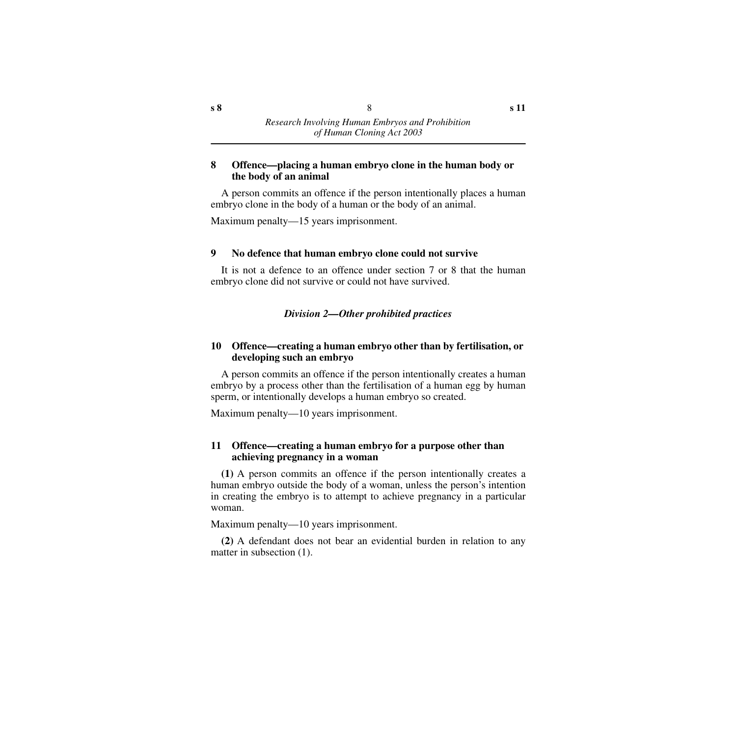#### <span id="page-9-0"></span>**8 Offence—placing a human embryo clone in the human body or the body of an animal**

A person commits an offence if the person intentionally places a human embryo clone in the body of a human or the body of an animal.

Maximum penalty—15 years imprisonment.

#### <span id="page-9-1"></span>**9 No defence that human embryo clone could not survive**

It is not a defence to an offence under section 7 or 8 that the human embryo clone did not survive or could not have survived.

#### *Division 2—Other prohibited practices*

#### <span id="page-9-3"></span><span id="page-9-2"></span>**10 Offence—creating a human embryo other than by fertilisation, or developing such an embryo**

A person commits an offence if the person intentionally creates a human embryo by a process other than the fertilisation of a human egg by human sperm, or intentionally develops a human embryo so created.

Maximum penalty—10 years imprisonment.

#### <span id="page-9-4"></span>**11 Offence—creating a human embryo for a purpose other than achieving pregnancy in a woman**

**(1)** A person commits an offence if the person intentionally creates a human embryo outside the body of a woman, unless the person's intention in creating the embryo is to attempt to achieve pregnancy in a particular woman.

Maximum penalty—10 years imprisonment.

**(2)** A defendant does not bear an evidential burden in relation to any matter in subsection (1).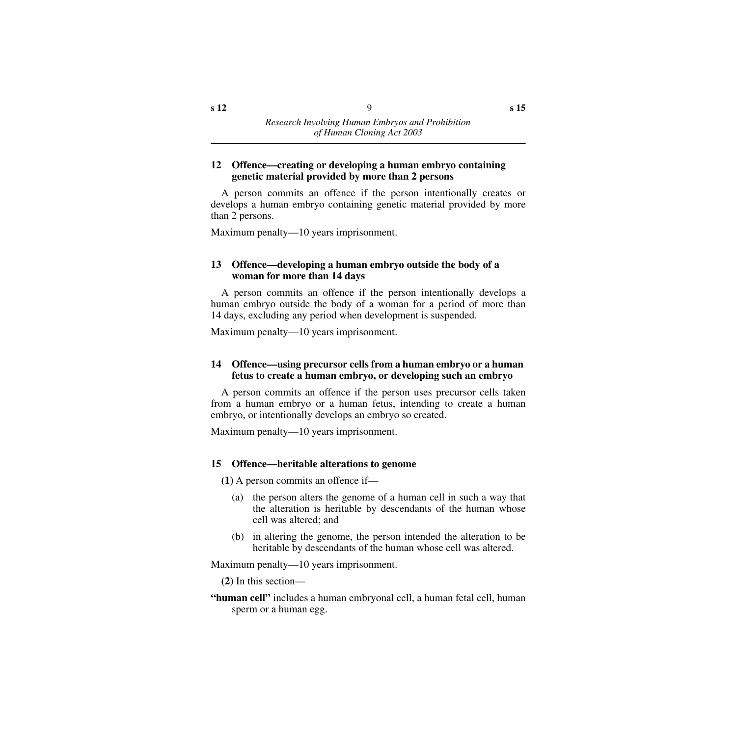#### <span id="page-10-0"></span>**12 Offence—creating or developing a human embryo containing genetic material provided by more than 2 persons**

A person commits an offence if the person intentionally creates or develops a human embryo containing genetic material provided by more than 2 persons.

Maximum penalty—10 years imprisonment.

#### <span id="page-10-1"></span>**13 Offence—developing a human embryo outside the body of a woman for more than 14 days**

A person commits an offence if the person intentionally develops a human embryo outside the body of a woman for a period of more than 14 days, excluding any period when development is suspended.

Maximum penalty—10 years imprisonment.

#### <span id="page-10-2"></span>**14 Offence—using precursor cells from a human embryo or a human fetus to create a human embryo, or developing such an embryo**

A person commits an offence if the person uses precursor cells taken from a human embryo or a human fetus, intending to create a human embryo, or intentionally develops an embryo so created.

Maximum penalty—10 years imprisonment.

#### <span id="page-10-3"></span>**15 Offence—heritable alterations to genome**

**(1)** A person commits an offence if—

- (a) the person alters the genome of a human cell in such a way that the alteration is heritable by descendants of the human whose cell was altered; and
- (b) in altering the genome, the person intended the alteration to be heritable by descendants of the human whose cell was altered.

Maximum penalty—10 years imprisonment.

**(2)** In this section—

**"human cell"** includes a human embryonal cell, a human fetal cell, human sperm or a human egg.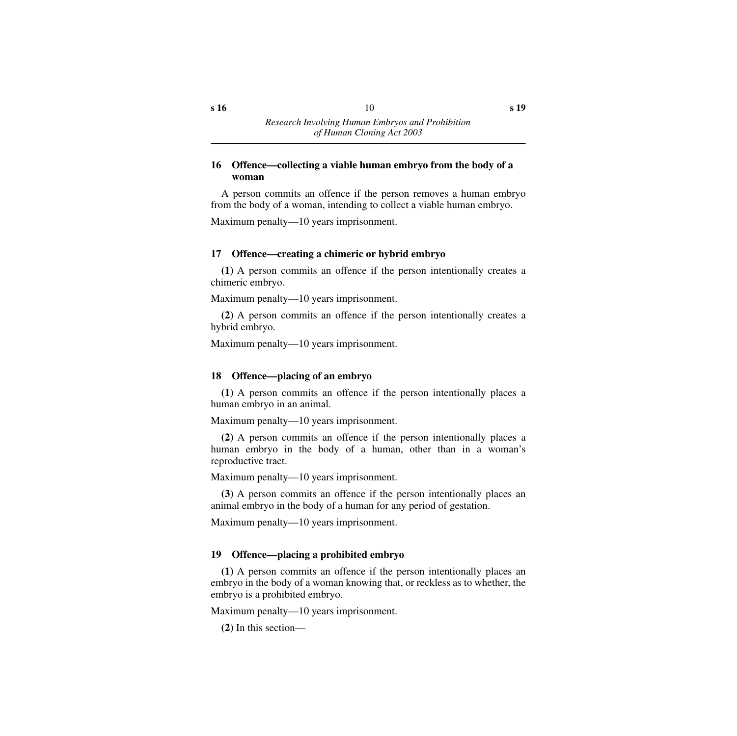#### <span id="page-11-0"></span>**16 Offence—collecting a viable human embryo from the body of a woman**

A person commits an offence if the person removes a human embryo from the body of a woman, intending to collect a viable human embryo.

Maximum penalty—10 years imprisonment.

## <span id="page-11-1"></span>**17 Offence—creating a chimeric or hybrid embryo**

**(1)** A person commits an offence if the person intentionally creates a chimeric embryo.

Maximum penalty—10 years imprisonment.

**(2)** A person commits an offence if the person intentionally creates a hybrid embryo.

Maximum penalty—10 years imprisonment.

## <span id="page-11-2"></span>**18 Offence—placing of an embryo**

**(1)** A person commits an offence if the person intentionally places a human embryo in an animal.

Maximum penalty—10 years imprisonment.

**(2)** A person commits an offence if the person intentionally places a human embryo in the body of a human, other than in a woman's reproductive tract.

Maximum penalty—10 years imprisonment.

**(3)** A person commits an offence if the person intentionally places an animal embryo in the body of a human for any period of gestation.

Maximum penalty—10 years imprisonment.

## <span id="page-11-3"></span>**19 Offence—placing a prohibited embryo**

**(1)** A person commits an offence if the person intentionally places an embryo in the body of a woman knowing that, or reckless as to whether, the embryo is a prohibited embryo.

Maximum penalty—10 years imprisonment.

**(2)** In this section—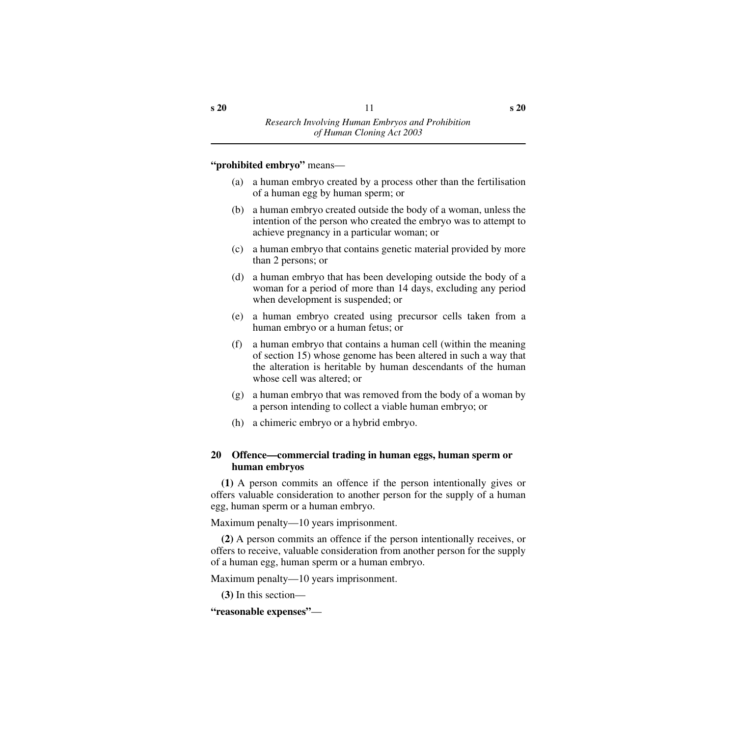#### **"prohibited embryo"** means—

- (a) a human embryo created by a process other than the fertilisation of a human egg by human sperm; or
- (b) a human embryo created outside the body of a woman, unless the intention of the person who created the embryo was to attempt to achieve pregnancy in a particular woman; or
- (c) a human embryo that contains genetic material provided by more than 2 persons; or
- (d) a human embryo that has been developing outside the body of a woman for a period of more than 14 days, excluding any period when development is suspended; or
- (e) a human embryo created using precursor cells taken from a human embryo or a human fetus; or
- (f) a human embryo that contains a human cell (within the meaning of section 15) whose genome has been altered in such a way that the alteration is heritable by human descendants of the human whose cell was altered; or
- (g) a human embryo that was removed from the body of a woman by a person intending to collect a viable human embryo; or
- (h) a chimeric embryo or a hybrid embryo.

#### <span id="page-12-0"></span>**20 Offence—commercial trading in human eggs, human sperm or human embryos**

**(1)** A person commits an offence if the person intentionally gives or offers valuable consideration to another person for the supply of a human egg, human sperm or a human embryo.

Maximum penalty—10 years imprisonment.

**(2)** A person commits an offence if the person intentionally receives, or offers to receive, valuable consideration from another person for the supply of a human egg, human sperm or a human embryo.

Maximum penalty—10 years imprisonment.

**(3)** In this section—

**"reasonable expenses"**—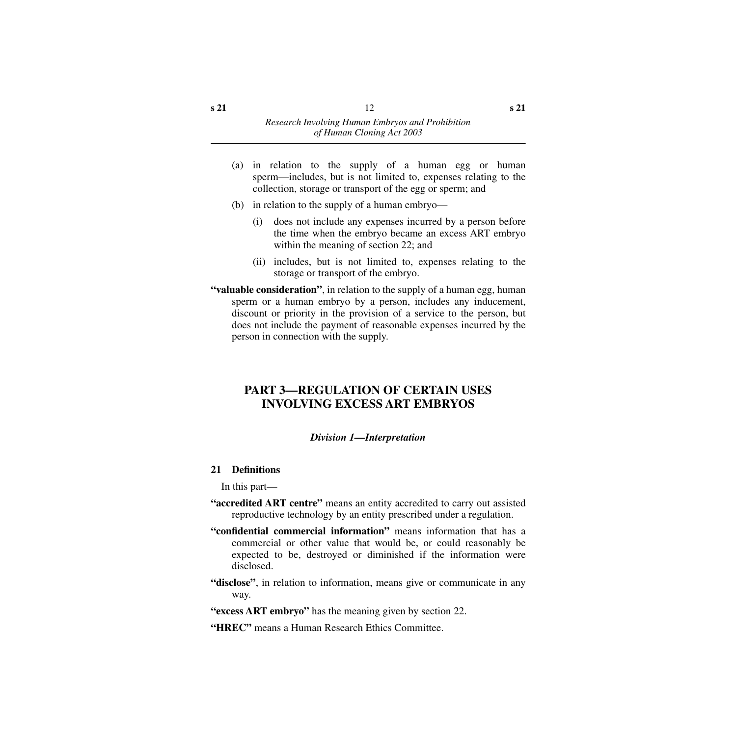- (a) in relation to the supply of a human egg or human sperm—includes, but is not limited to, expenses relating to the collection, storage or transport of the egg or sperm; and
- (b) in relation to the supply of a human embryo—
	- (i) does not include any expenses incurred by a person before the time when the embryo became an excess ART embryo within the meaning of section 22; and
	- (ii) includes, but is not limited to, expenses relating to the storage or transport of the embryo.
- **"valuable consideration"**, in relation to the supply of a human egg, human sperm or a human embryo by a person, includes any inducement, discount or priority in the provision of a service to the person, but does not include the payment of reasonable expenses incurred by the person in connection with the supply.

## <span id="page-13-0"></span>**PART 3—REGULATION OF CERTAIN USES INVOLVING EXCESS ART EMBRYOS**

#### *Division 1—Interpretation*

#### <span id="page-13-2"></span><span id="page-13-1"></span>**21 Definitions**

In this part—

- **"accredited ART centre"** means an entity accredited to carry out assisted reproductive technology by an entity prescribed under a regulation.
- **"confidential commercial information"** means information that has a commercial or other value that would be, or could reasonably be expected to be, destroyed or diminished if the information were disclosed.
- **"disclose"**, in relation to information, means give or communicate in any way.
- **"excess ART embryo"** has the meaning given by section 22.
- **"HREC"** means a Human Research Ethics Committee.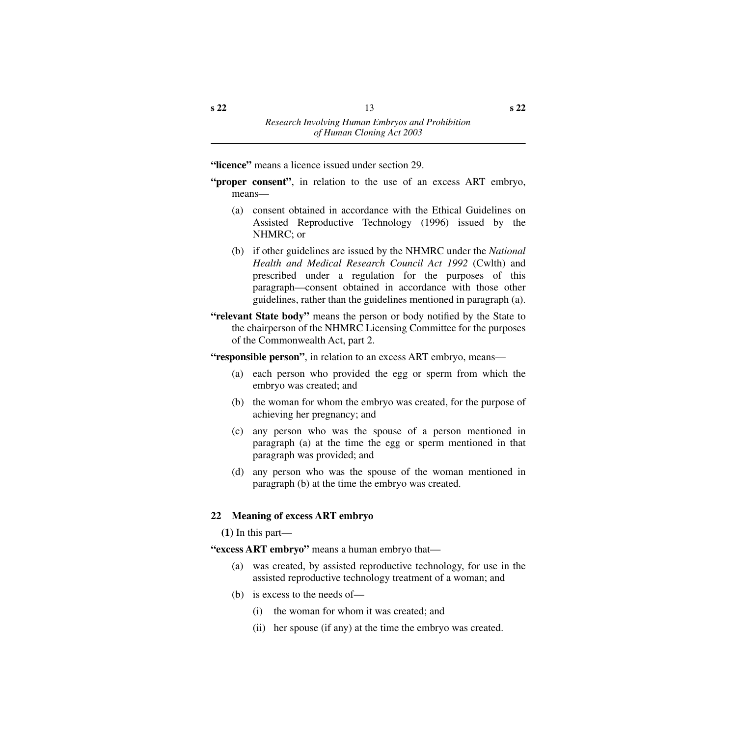**"licence"** means a licence issued under section 29.

- **"proper consent"**, in relation to the use of an excess ART embryo, means—
	- (a) consent obtained in accordance with the Ethical Guidelines on Assisted Reproductive Technology (1996) issued by the NHMRC; or
	- (b) if other guidelines are issued by the NHMRC under the *National Health and Medical Research Council Act 1992* (Cwlth) and prescribed under a regulation for the purposes of this paragraph—consent obtained in accordance with those other guidelines, rather than the guidelines mentioned in paragraph (a).
- **"relevant State body"** means the person or body notified by the State to the chairperson of the NHMRC Licensing Committee for the purposes of the Commonwealth Act, part 2.

**"responsible person"**, in relation to an excess ART embryo, means—

- (a) each person who provided the egg or sperm from which the embryo was created; and
- (b) the woman for whom the embryo was created, for the purpose of achieving her pregnancy; and
- (c) any person who was the spouse of a person mentioned in paragraph (a) at the time the egg or sperm mentioned in that paragraph was provided; and
- (d) any person who was the spouse of the woman mentioned in paragraph (b) at the time the embryo was created.

## <span id="page-14-0"></span>**22 Meaning of excess ART embryo**

**(1)** In this part—

**"excess ART embryo"** means a human embryo that—

- (a) was created, by assisted reproductive technology, for use in the assisted reproductive technology treatment of a woman; and
- (b) is excess to the needs of—
	- (i) the woman for whom it was created; and
	- (ii) her spouse (if any) at the time the embryo was created.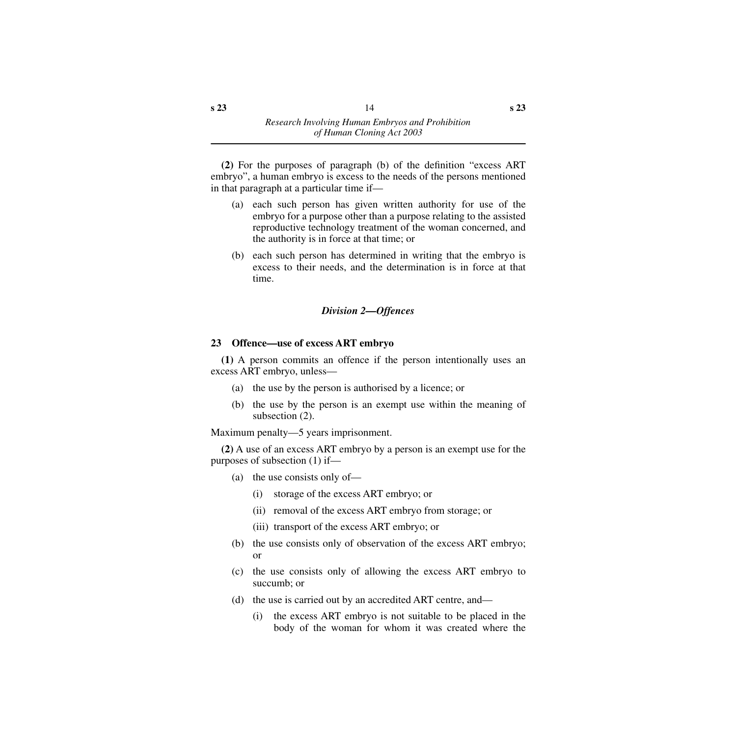**(2)** For the purposes of paragraph (b) of the definition "excess ART embryo", a human embryo is excess to the needs of the persons mentioned in that paragraph at a particular time if—

- (a) each such person has given written authority for use of the embryo for a purpose other than a purpose relating to the assisted reproductive technology treatment of the woman concerned, and the authority is in force at that time; or
- (b) each such person has determined in writing that the embryo is excess to their needs, and the determination is in force at that time.

## *Division 2—Offences*

## <span id="page-15-1"></span><span id="page-15-0"></span>**23 Offence—use of excess ART embryo**

**(1)** A person commits an offence if the person intentionally uses an excess ART embryo, unless—

- (a) the use by the person is authorised by a licence; or
- (b) the use by the person is an exempt use within the meaning of subsection (2).

Maximum penalty—5 years imprisonment.

**(2)** A use of an excess ART embryo by a person is an exempt use for the purposes of subsection (1) if—

- (a) the use consists only of—
	- (i) storage of the excess ART embryo; or
	- (ii) removal of the excess ART embryo from storage; or
	- (iii) transport of the excess ART embryo; or
- (b) the use consists only of observation of the excess ART embryo; or
- (c) the use consists only of allowing the excess ART embryo to succumb; or
- (d) the use is carried out by an accredited ART centre, and—
	- (i) the excess ART embryo is not suitable to be placed in the body of the woman for whom it was created where the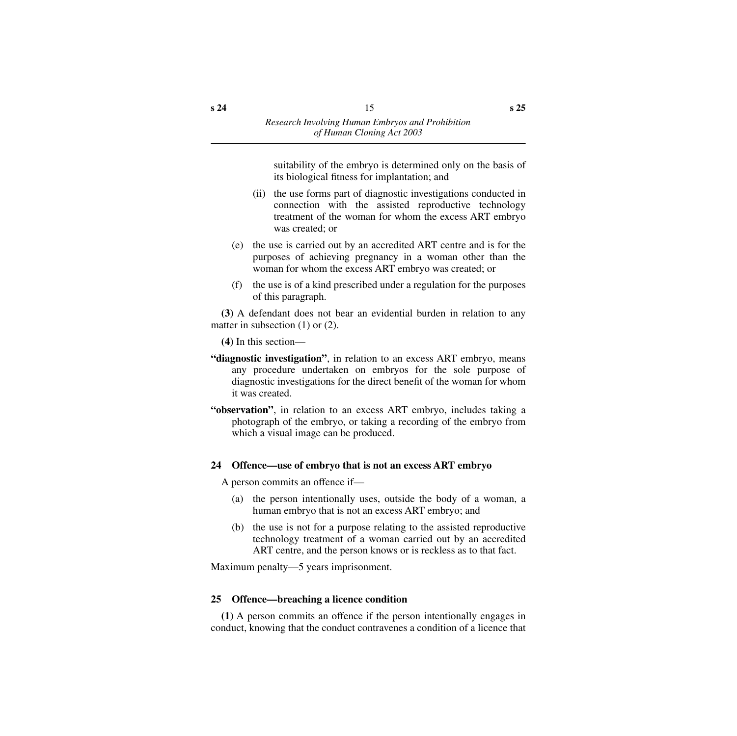suitability of the embryo is determined only on the basis of its biological fitness for implantation; and

- (ii) the use forms part of diagnostic investigations conducted in connection with the assisted reproductive technology treatment of the woman for whom the excess ART embryo was created; or
- (e) the use is carried out by an accredited ART centre and is for the purposes of achieving pregnancy in a woman other than the woman for whom the excess ART embryo was created; or
- (f) the use is of a kind prescribed under a regulation for the purposes of this paragraph.

**(3)** A defendant does not bear an evidential burden in relation to any matter in subsection (1) or (2).

**(4)** In this section—

- **"diagnostic investigation"**, in relation to an excess ART embryo, means any procedure undertaken on embryos for the sole purpose of diagnostic investigations for the direct benefit of the woman for whom it was created.
- **"observation"**, in relation to an excess ART embryo, includes taking a photograph of the embryo, or taking a recording of the embryo from which a visual image can be produced.

#### <span id="page-16-0"></span>**24 Offence—use of embryo that is not an excess ART embryo**

A person commits an offence if—

- (a) the person intentionally uses, outside the body of a woman, a human embryo that is not an excess ART embryo; and
- (b) the use is not for a purpose relating to the assisted reproductive technology treatment of a woman carried out by an accredited ART centre, and the person knows or is reckless as to that fact.

Maximum penalty—5 years imprisonment.

#### <span id="page-16-1"></span>**25 Offence—breaching a licence condition**

**(1)** A person commits an offence if the person intentionally engages in conduct, knowing that the conduct contravenes a condition of a licence that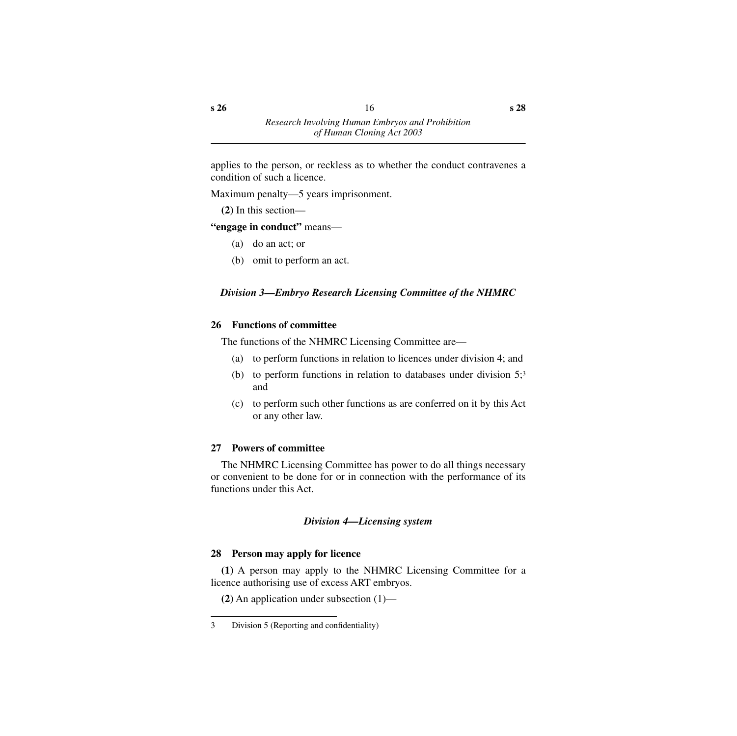applies to the person, or reckless as to whether the conduct contravenes a condition of such a licence.

Maximum penalty—5 years imprisonment.

**(2)** In this section—

## **"engage in conduct"** means—

- (a) do an act; or
- (b) omit to perform an act.

## <span id="page-17-0"></span>*Division 3—Embryo Research Licensing Committee of the NHMRC*

## <span id="page-17-1"></span>**26 Functions of committee**

The functions of the NHMRC Licensing Committee are—

- (a) to perform functions in relation to licences under division 4; and
- (b) to perform functions in relation to databases under division  $5$ ;<sup>3</sup> and
- (c) to perform such other functions as are conferred on it by this Act or any other law.

## <span id="page-17-2"></span>**27 Powers of committee**

The NHMRC Licensing Committee has power to do all things necessary or convenient to be done for or in connection with the performance of its functions under this Act.

## *Division 4—Licensing system*

## <span id="page-17-4"></span><span id="page-17-3"></span>**28 Person may apply for licence**

**(1)** A person may apply to the NHMRC Licensing Committee for a licence authorising use of excess ART embryos.

**(2)** An application under subsection (1)—

<sup>3</sup> Division 5 (Reporting and confidentiality)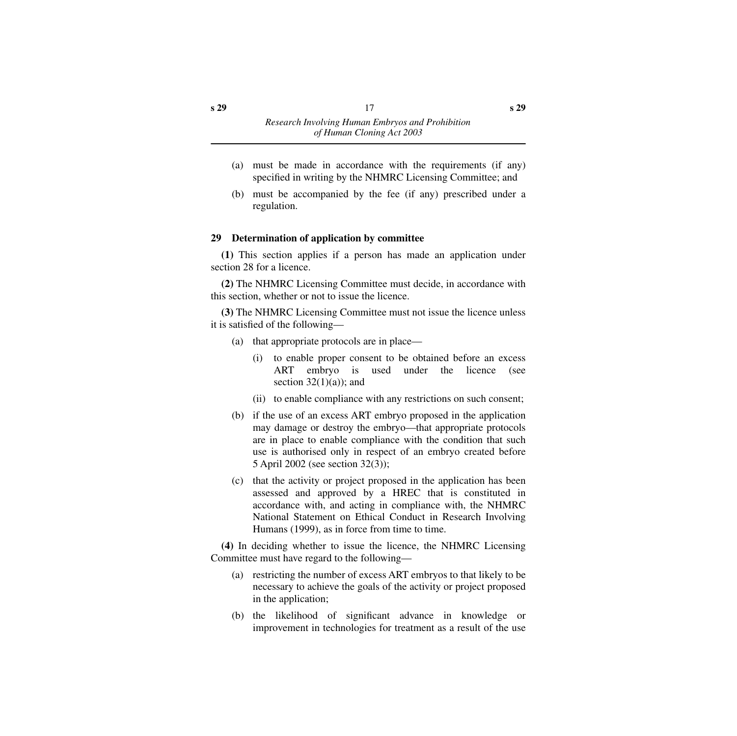- (a) must be made in accordance with the requirements (if any) specified in writing by the NHMRC Licensing Committee; and
- (b) must be accompanied by the fee (if any) prescribed under a regulation.

## <span id="page-18-0"></span>**29 Determination of application by committee**

**(1)** This section applies if a person has made an application under section 28 for a licence.

**(2)** The NHMRC Licensing Committee must decide, in accordance with this section, whether or not to issue the licence.

**(3)** The NHMRC Licensing Committee must not issue the licence unless it is satisfied of the following—

- (a) that appropriate protocols are in place—
	- (i) to enable proper consent to be obtained before an excess ART embryo is used under the licence (see section  $32(1)(a)$ ; and
	- (ii) to enable compliance with any restrictions on such consent;
- (b) if the use of an excess ART embryo proposed in the application may damage or destroy the embryo—that appropriate protocols are in place to enable compliance with the condition that such use is authorised only in respect of an embryo created before 5 April 2002 (see section 32(3));
- (c) that the activity or project proposed in the application has been assessed and approved by a HREC that is constituted in accordance with, and acting in compliance with, the NHMRC National Statement on Ethical Conduct in Research Involving Humans (1999), as in force from time to time.

**(4)** In deciding whether to issue the licence, the NHMRC Licensing Committee must have regard to the following—

- (a) restricting the number of excess ART embryos to that likely to be necessary to achieve the goals of the activity or project proposed in the application;
- (b) the likelihood of significant advance in knowledge or improvement in technologies for treatment as a result of the use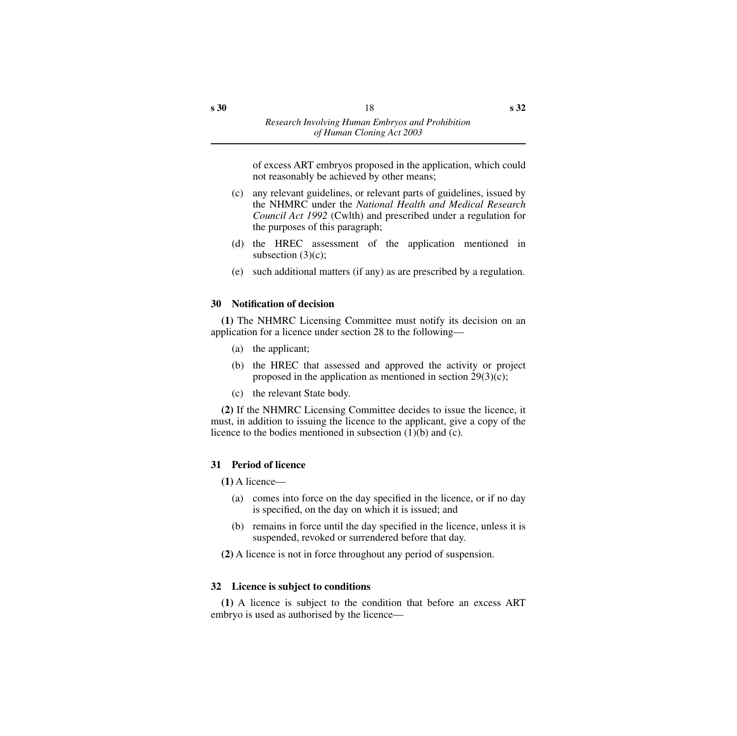of excess ART embryos proposed in the application, which could not reasonably be achieved by other means;

- (c) any relevant guidelines, or relevant parts of guidelines, issued by the NHMRC under the *National Health and Medical Research Council Act 1992* (Cwlth) and prescribed under a regulation for the purposes of this paragraph;
- (d) the HREC assessment of the application mentioned in subsection (3)(c);
- (e) such additional matters (if any) as are prescribed by a regulation.

#### <span id="page-19-0"></span>**30 Notification of decision**

**(1)** The NHMRC Licensing Committee must notify its decision on an application for a licence under section 28 to the following—

- (a) the applicant;
- (b) the HREC that assessed and approved the activity or project proposed in the application as mentioned in section  $29(3)(c)$ ;
- (c) the relevant State body.

**(2)** If the NHMRC Licensing Committee decides to issue the licence, it must, in addition to issuing the licence to the applicant, give a copy of the licence to the bodies mentioned in subsection (1)(b) and (c).

#### <span id="page-19-1"></span>**31 Period of licence**

**(1)** A licence—

- (a) comes into force on the day specified in the licence, or if no day is specified, on the day on which it is issued; and
- (b) remains in force until the day specified in the licence, unless it is suspended, revoked or surrendered before that day.
- **(2)** A licence is not in force throughout any period of suspension.

#### <span id="page-19-2"></span>**32 Licence is subject to conditions**

**(1)** A licence is subject to the condition that before an excess ART embryo is used as authorised by the licence—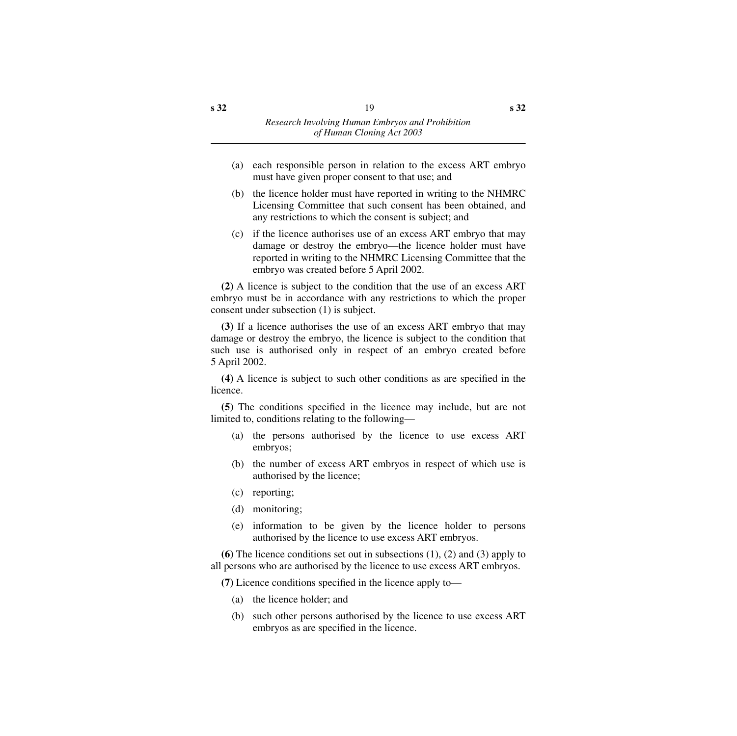- (a) each responsible person in relation to the excess ART embryo must have given proper consent to that use; and
- (b) the licence holder must have reported in writing to the NHMRC Licensing Committee that such consent has been obtained, and any restrictions to which the consent is subject; and
- (c) if the licence authorises use of an excess ART embryo that may damage or destroy the embryo—the licence holder must have reported in writing to the NHMRC Licensing Committee that the embryo was created before 5 April 2002.

**(2)** A licence is subject to the condition that the use of an excess ART embryo must be in accordance with any restrictions to which the proper consent under subsection (1) is subject.

**(3)** If a licence authorises the use of an excess ART embryo that may damage or destroy the embryo, the licence is subject to the condition that such use is authorised only in respect of an embryo created before 5 April 2002.

**(4)** A licence is subject to such other conditions as are specified in the licence.

**(5)** The conditions specified in the licence may include, but are not limited to, conditions relating to the following—

- (a) the persons authorised by the licence to use excess ART embryos;
- (b) the number of excess ART embryos in respect of which use is authorised by the licence;
- (c) reporting;
- (d) monitoring;
- (e) information to be given by the licence holder to persons authorised by the licence to use excess ART embryos.

**(6)** The licence conditions set out in subsections (1), (2) and (3) apply to all persons who are authorised by the licence to use excess ART embryos.

**(7)** Licence conditions specified in the licence apply to—

- (a) the licence holder; and
- (b) such other persons authorised by the licence to use excess ART embryos as are specified in the licence.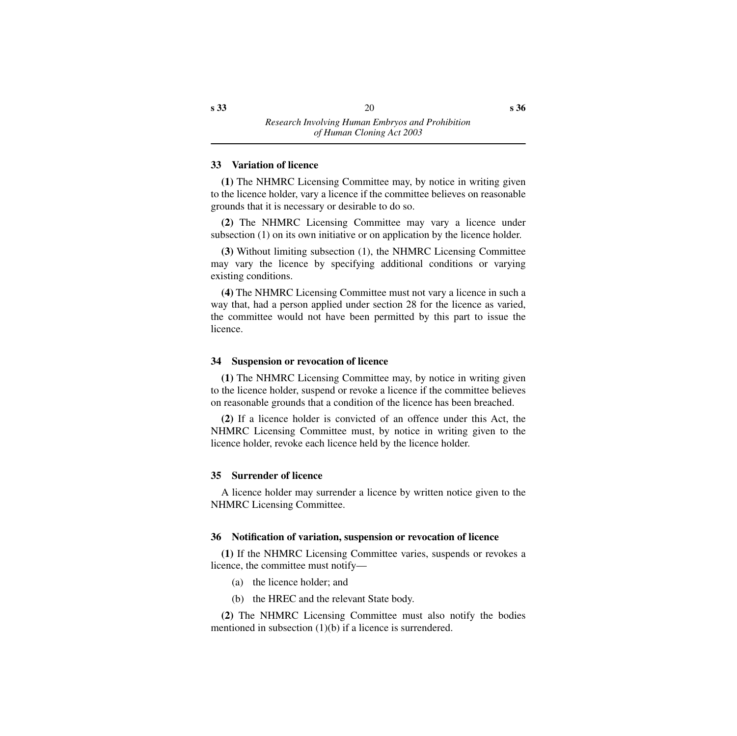#### <span id="page-21-0"></span>**33 Variation of licence**

**(1)** The NHMRC Licensing Committee may, by notice in writing given to the licence holder, vary a licence if the committee believes on reasonable grounds that it is necessary or desirable to do so.

**(2)** The NHMRC Licensing Committee may vary a licence under subsection (1) on its own initiative or on application by the licence holder.

**(3)** Without limiting subsection (1), the NHMRC Licensing Committee may vary the licence by specifying additional conditions or varying existing conditions.

**(4)** The NHMRC Licensing Committee must not vary a licence in such a way that, had a person applied under section 28 for the licence as varied, the committee would not have been permitted by this part to issue the licence.

#### <span id="page-21-1"></span>**34 Suspension or revocation of licence**

**(1)** The NHMRC Licensing Committee may, by notice in writing given to the licence holder, suspend or revoke a licence if the committee believes on reasonable grounds that a condition of the licence has been breached.

**(2)** If a licence holder is convicted of an offence under this Act, the NHMRC Licensing Committee must, by notice in writing given to the licence holder, revoke each licence held by the licence holder.

#### <span id="page-21-2"></span>**35 Surrender of licence**

A licence holder may surrender a licence by written notice given to the NHMRC Licensing Committee.

#### <span id="page-21-3"></span>**36 Notification of variation, suspension or revocation of licence**

**(1)** If the NHMRC Licensing Committee varies, suspends or revokes a licence, the committee must notify—

(a) the licence holder; and

(b) the HREC and the relevant State body.

**(2)** The NHMRC Licensing Committee must also notify the bodies mentioned in subsection (1)(b) if a licence is surrendered.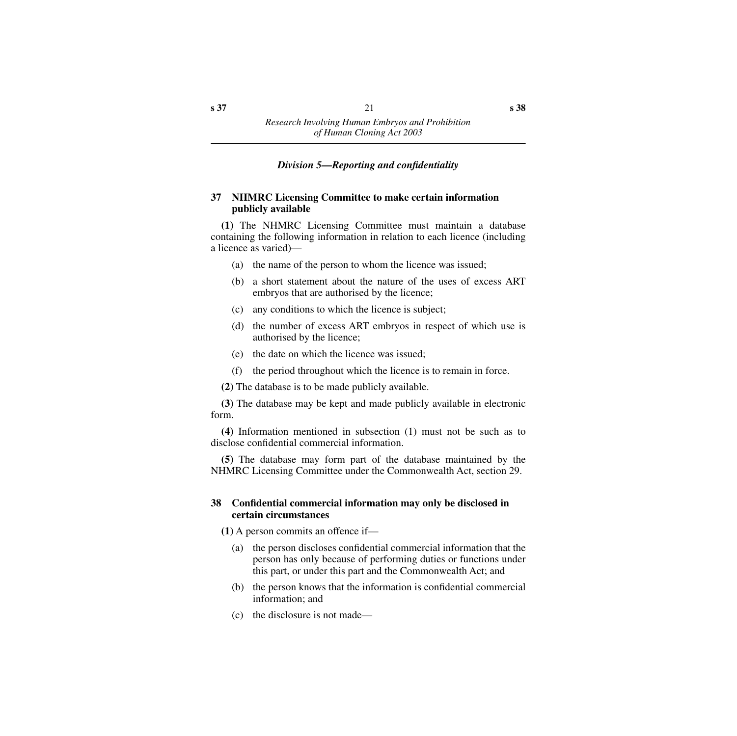#### *Division 5—Reporting and confidentiality*

#### <span id="page-22-1"></span><span id="page-22-0"></span>**37 NHMRC Licensing Committee to make certain information publicly available**

**(1)** The NHMRC Licensing Committee must maintain a database containing the following information in relation to each licence (including a licence as varied)—

- (a) the name of the person to whom the licence was issued;
- (b) a short statement about the nature of the uses of excess ART embryos that are authorised by the licence;
- (c) any conditions to which the licence is subject;
- (d) the number of excess ART embryos in respect of which use is authorised by the licence;
- (e) the date on which the licence was issued;
- (f) the period throughout which the licence is to remain in force.

**(2)** The database is to be made publicly available.

**(3)** The database may be kept and made publicly available in electronic form.

**(4)** Information mentioned in subsection (1) must not be such as to disclose confidential commercial information.

**(5)** The database may form part of the database maintained by the NHMRC Licensing Committee under the Commonwealth Act, section 29.

#### <span id="page-22-2"></span>**38 Confidential commercial information may only be disclosed in certain circumstances**

**(1)** A person commits an offence if—

- (a) the person discloses confidential commercial information that the person has only because of performing duties or functions under this part, or under this part and the Commonwealth Act; and
- (b) the person knows that the information is confidential commercial information; and
- (c) the disclosure is not made—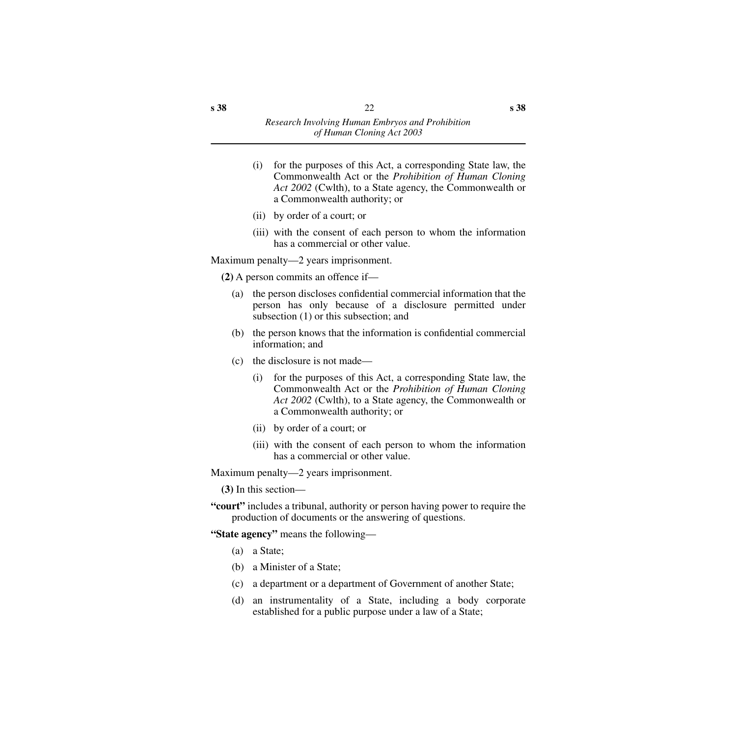- (i) for the purposes of this Act, a corresponding State law, the Commonwealth Act or the *Prohibition of Human Cloning Act 2002* (Cwlth), to a State agency, the Commonwealth or a Commonwealth authority; or
- (ii) by order of a court; or
- (iii) with the consent of each person to whom the information has a commercial or other value.

Maximum penalty—2 years imprisonment.

**(2)** A person commits an offence if—

- (a) the person discloses confidential commercial information that the person has only because of a disclosure permitted under subsection (1) or this subsection; and
- (b) the person knows that the information is confidential commercial information; and
- (c) the disclosure is not made—
	- (i) for the purposes of this Act, a corresponding State law, the Commonwealth Act or the *Prohibition of Human Cloning Act 2002* (Cwlth), to a State agency, the Commonwealth or a Commonwealth authority; or
	- (ii) by order of a court; or
	- (iii) with the consent of each person to whom the information has a commercial or other value.

Maximum penalty—2 years imprisonment.

**(3)** In this section—

**"court"** includes a tribunal, authority or person having power to require the production of documents or the answering of questions.

**"State agency"** means the following—

- (a) a State;
- (b) a Minister of a State;
- (c) a department or a department of Government of another State;
- (d) an instrumentality of a State, including a body corporate established for a public purpose under a law of a State;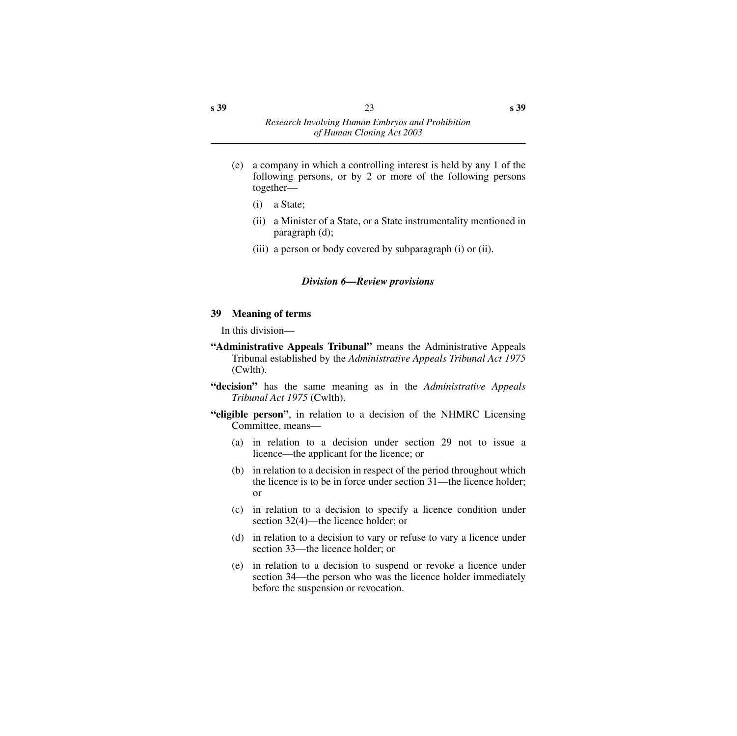- (e) a company in which a controlling interest is held by any 1 of the following persons, or by 2 or more of the following persons together—
	- (i) a State;
	- (ii) a Minister of a State, or a State instrumentality mentioned in paragraph (d);
	- (iii) a person or body covered by subparagraph (i) or (ii).

#### *Division 6—Review provisions*

#### <span id="page-24-1"></span><span id="page-24-0"></span>**39 Meaning of terms**

In this division—

- **"Administrative Appeals Tribunal"** means the Administrative Appeals Tribunal established by the *Administrative Appeals Tribunal Act 1975* (Cwlth).
- **"decision"** has the same meaning as in the *Administrative Appeals Tribunal Act 1975* (Cwlth).
- **"eligible person"**, in relation to a decision of the NHMRC Licensing Committee, means—
	- (a) in relation to a decision under section 29 not to issue a licence—the applicant for the licence; or
	- (b) in relation to a decision in respect of the period throughout which the licence is to be in force under section 31—the licence holder; or
	- (c) in relation to a decision to specify a licence condition under section 32(4)—the licence holder; or
	- (d) in relation to a decision to vary or refuse to vary a licence under section 33—the licence holder; or
	- (e) in relation to a decision to suspend or revoke a licence under section 34—the person who was the licence holder immediately before the suspension or revocation.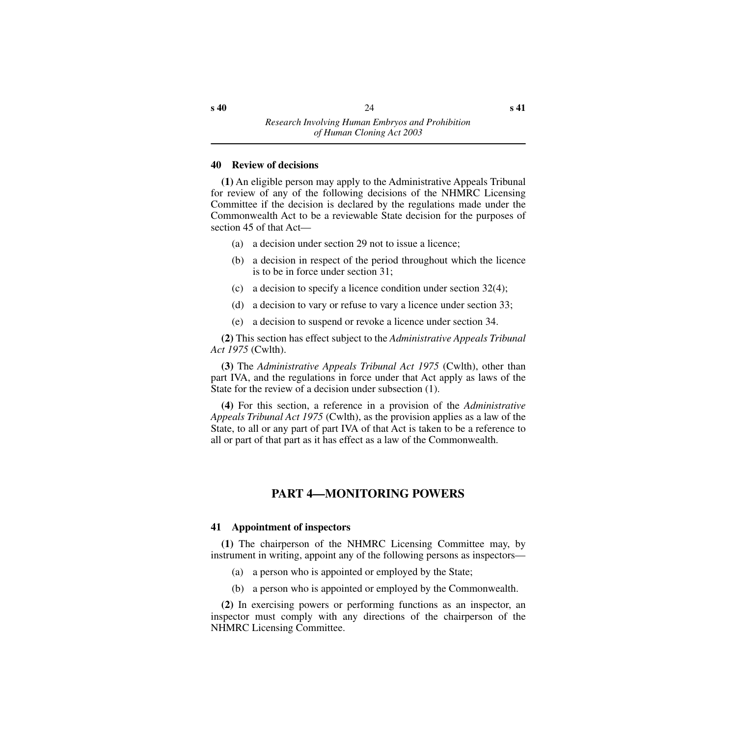#### <span id="page-25-0"></span>**40 Review of decisions**

**(1)** An eligible person may apply to the Administrative Appeals Tribunal for review of any of the following decisions of the NHMRC Licensing Committee if the decision is declared by the regulations made under the Commonwealth Act to be a reviewable State decision for the purposes of section 45 of that Act—

- (a) a decision under section 29 not to issue a licence;
- (b) a decision in respect of the period throughout which the licence is to be in force under section 31;
- (c) a decision to specify a licence condition under section 32(4);
- (d) a decision to vary or refuse to vary a licence under section 33;
- (e) a decision to suspend or revoke a licence under section 34.

**(2)** This section has effect subject to the *Administrative Appeals Tribunal Act 1975* (Cwlth).

**(3)** The *Administrative Appeals Tribunal Act 1975* (Cwlth), other than part IVA, and the regulations in force under that Act apply as laws of the State for the review of a decision under subsection (1).

**(4)** For this section, a reference in a provision of the *Administrative Appeals Tribunal Act 1975* (Cwlth), as the provision applies as a law of the State, to all or any part of part IVA of that Act is taken to be a reference to all or part of that part as it has effect as a law of the Commonwealth.

## **PART 4—MONITORING POWERS**

#### <span id="page-25-2"></span><span id="page-25-1"></span>**41 Appointment of inspectors**

**(1)** The chairperson of the NHMRC Licensing Committee may, by instrument in writing, appoint any of the following persons as inspectors—

- (a) a person who is appointed or employed by the State;
- (b) a person who is appointed or employed by the Commonwealth.

**(2)** In exercising powers or performing functions as an inspector, an inspector must comply with any directions of the chairperson of the NHMRC Licensing Committee.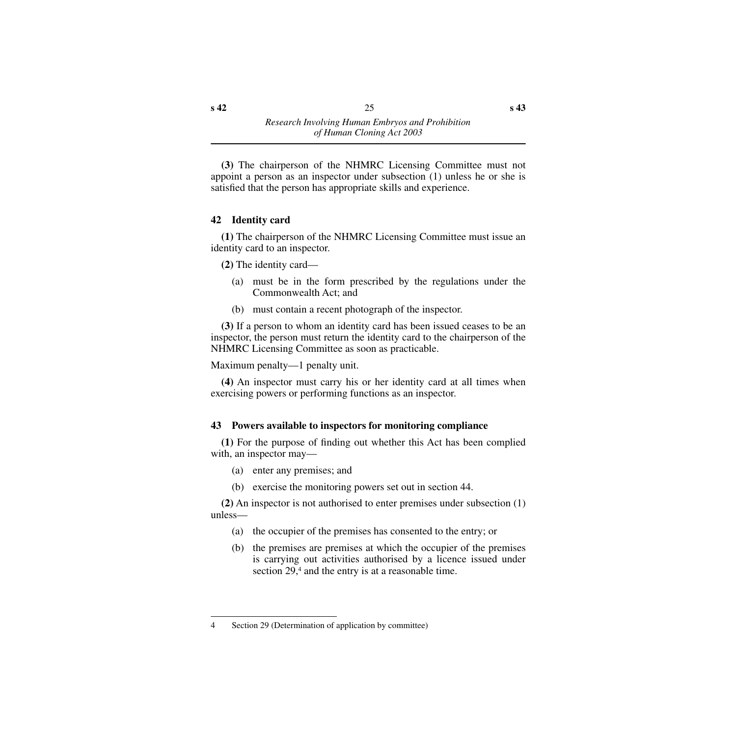**(3)** The chairperson of the NHMRC Licensing Committee must not appoint a person as an inspector under subsection (1) unless he or she is satisfied that the person has appropriate skills and experience.

## <span id="page-26-0"></span>**42 Identity card**

**(1)** The chairperson of the NHMRC Licensing Committee must issue an identity card to an inspector.

**(2)** The identity card—

- (a) must be in the form prescribed by the regulations under the Commonwealth Act; and
- (b) must contain a recent photograph of the inspector.

**(3)** If a person to whom an identity card has been issued ceases to be an inspector, the person must return the identity card to the chairperson of the NHMRC Licensing Committee as soon as practicable.

Maximum penalty—1 penalty unit.

**(4)** An inspector must carry his or her identity card at all times when exercising powers or performing functions as an inspector.

## <span id="page-26-1"></span>**43 Powers available to inspectors for monitoring compliance**

**(1)** For the purpose of finding out whether this Act has been complied with, an inspector may—

- (a) enter any premises; and
- (b) exercise the monitoring powers set out in section 44.

**(2)** An inspector is not authorised to enter premises under subsection (1) unless—

- (a) the occupier of the premises has consented to the entry; or
- (b) the premises are premises at which the occupier of the premises is carrying out activities authorised by a licence issued under section 29,<sup>4</sup> and the entry is at a reasonable time.

<sup>4</sup> Section 29 (Determination of application by committee)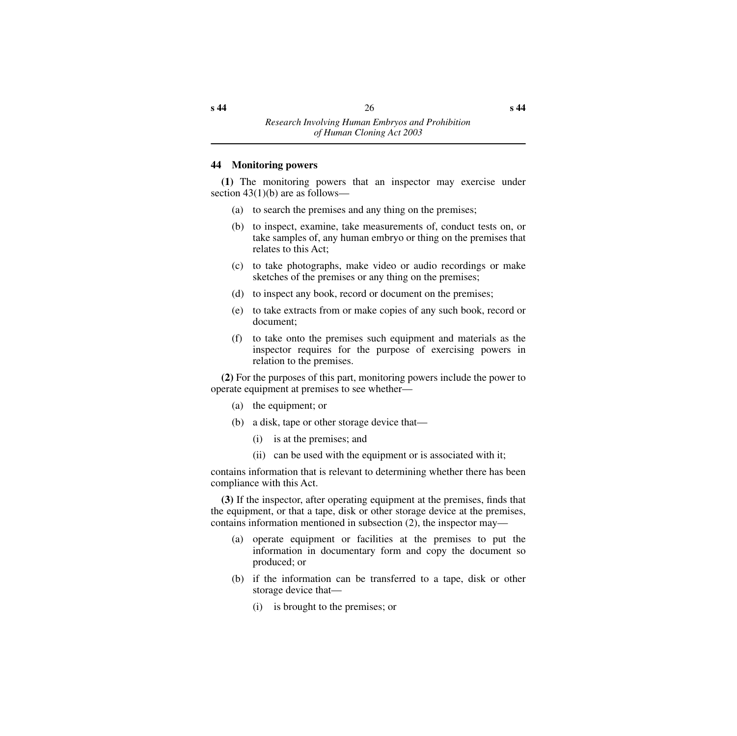#### <span id="page-27-0"></span>**44 Monitoring powers**

**(1)** The monitoring powers that an inspector may exercise under section  $43(1)(b)$  are as follows—

- (a) to search the premises and any thing on the premises;
- (b) to inspect, examine, take measurements of, conduct tests on, or take samples of, any human embryo or thing on the premises that relates to this Act;
- (c) to take photographs, make video or audio recordings or make sketches of the premises or any thing on the premises;
- (d) to inspect any book, record or document on the premises;
- (e) to take extracts from or make copies of any such book, record or document;
- (f) to take onto the premises such equipment and materials as the inspector requires for the purpose of exercising powers in relation to the premises.

**(2)** For the purposes of this part, monitoring powers include the power to operate equipment at premises to see whether—

- (a) the equipment; or
- (b) a disk, tape or other storage device that—
	- (i) is at the premises; and
	- (ii) can be used with the equipment or is associated with it;

contains information that is relevant to determining whether there has been compliance with this Act.

**(3)** If the inspector, after operating equipment at the premises, finds that the equipment, or that a tape, disk or other storage device at the premises, contains information mentioned in subsection (2), the inspector may—

- (a) operate equipment or facilities at the premises to put the information in documentary form and copy the document so produced; or
- (b) if the information can be transferred to a tape, disk or other storage device that—
	- (i) is brought to the premises; or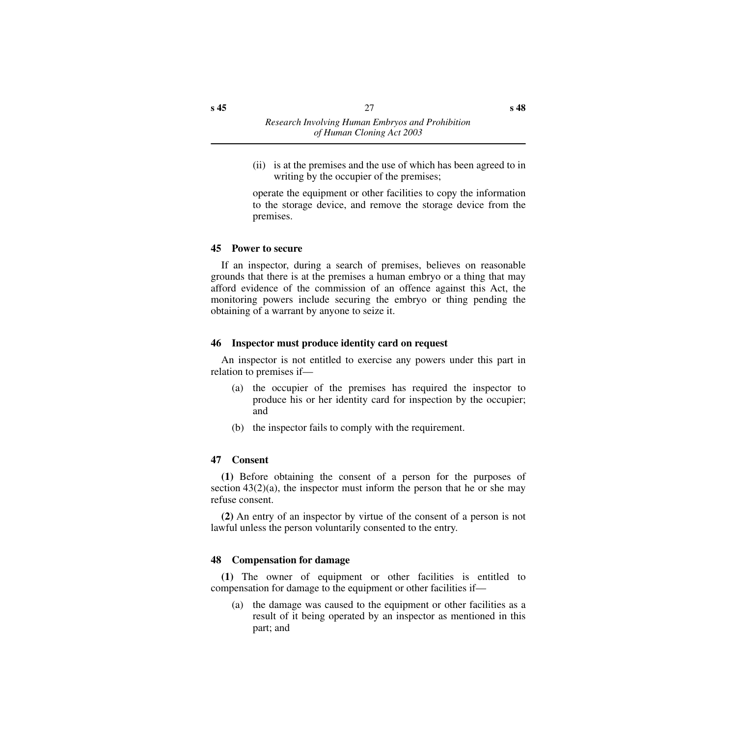(ii) is at the premises and the use of which has been agreed to in writing by the occupier of the premises;

operate the equipment or other facilities to copy the information to the storage device, and remove the storage device from the premises.

#### <span id="page-28-0"></span>**45 Power to secure**

If an inspector, during a search of premises, believes on reasonable grounds that there is at the premises a human embryo or a thing that may afford evidence of the commission of an offence against this Act, the monitoring powers include securing the embryo or thing pending the obtaining of a warrant by anyone to seize it.

#### <span id="page-28-1"></span>**46 Inspector must produce identity card on request**

An inspector is not entitled to exercise any powers under this part in relation to premises if—

- (a) the occupier of the premises has required the inspector to produce his or her identity card for inspection by the occupier; and
- (b) the inspector fails to comply with the requirement.

#### <span id="page-28-2"></span>**47 Consent**

**(1)** Before obtaining the consent of a person for the purposes of section  $43(2)(a)$ , the inspector must inform the person that he or she may refuse consent.

**(2)** An entry of an inspector by virtue of the consent of a person is not lawful unless the person voluntarily consented to the entry.

#### <span id="page-28-3"></span>**48 Compensation for damage**

**(1)** The owner of equipment or other facilities is entitled to compensation for damage to the equipment or other facilities if—

(a) the damage was caused to the equipment or other facilities as a result of it being operated by an inspector as mentioned in this part; and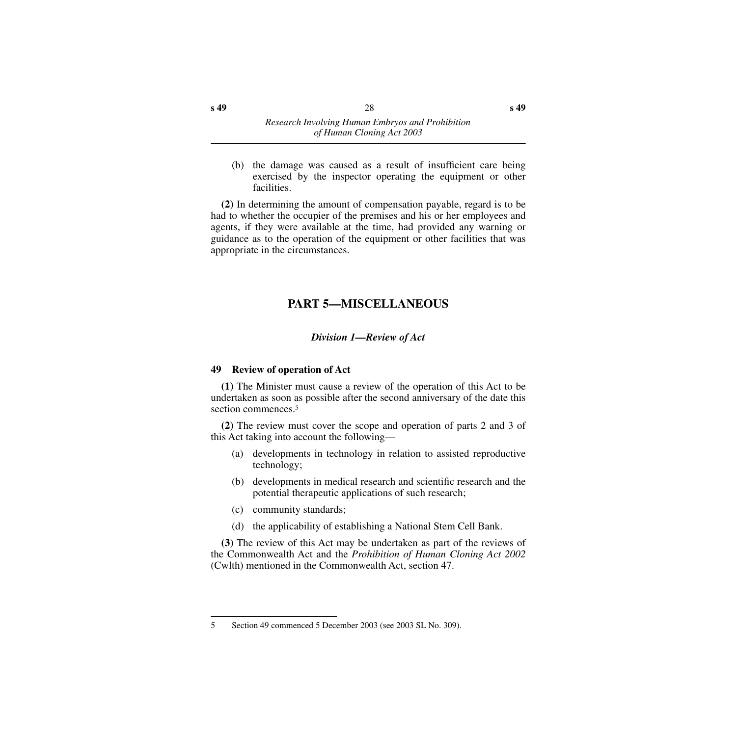(b) the damage was caused as a result of insufficient care being exercised by the inspector operating the equipment or other facilities.

**(2)** In determining the amount of compensation payable, regard is to be had to whether the occupier of the premises and his or her employees and agents, if they were available at the time, had provided any warning or guidance as to the operation of the equipment or other facilities that was appropriate in the circumstances.

## **PART 5—MISCELLANEOUS**

## *Division 1—Review of Act*

#### <span id="page-29-2"></span><span id="page-29-1"></span><span id="page-29-0"></span>**49 Review of operation of Act**

**(1)** The Minister must cause a review of the operation of this Act to be undertaken as soon as possible after the second anniversary of the date this section commences.<sup>5</sup>

**(2)** The review must cover the scope and operation of parts 2 and 3 of this Act taking into account the following—

- (a) developments in technology in relation to assisted reproductive technology;
- (b) developments in medical research and scientific research and the potential therapeutic applications of such research;
- (c) community standards;
- (d) the applicability of establishing a National Stem Cell Bank.

**(3)** The review of this Act may be undertaken as part of the reviews of the Commonwealth Act and the *Prohibition of Human Cloning Act 2002* (Cwlth) mentioned in the Commonwealth Act, section 47.

<sup>5</sup> Section 49 commenced 5 December 2003 (see 2003 SL No. 309).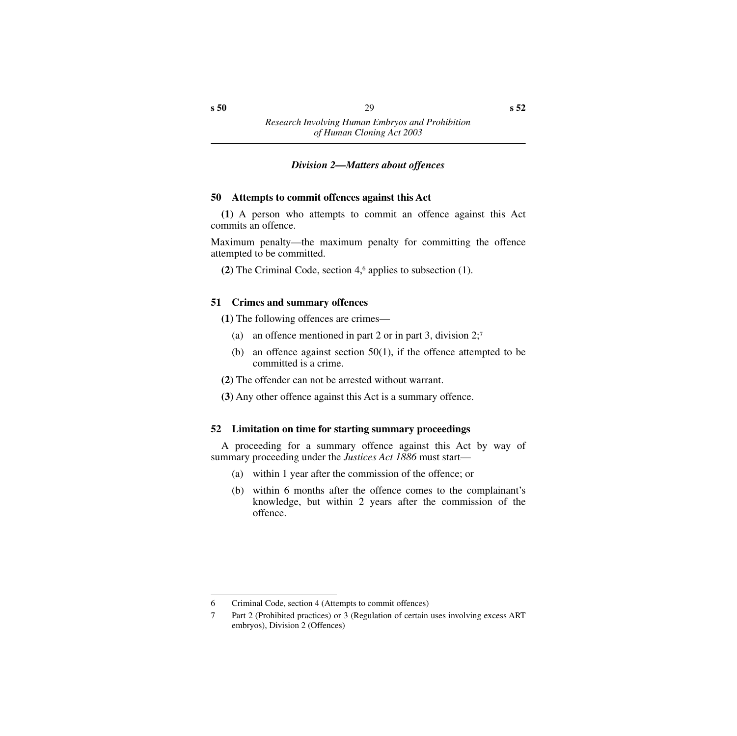## *Division 2—Matters about offences*

## <span id="page-30-1"></span><span id="page-30-0"></span>**50 Attempts to commit offences against this Act**

**(1)** A person who attempts to commit an offence against this Act commits an offence.

Maximum penalty—the maximum penalty for committing the offence attempted to be committed.

**(2)** The Criminal Code, section 4,6 applies to subsection (1).

## <span id="page-30-2"></span>**51 Crimes and summary offences**

**(1)** The following offences are crimes—

- (a) an offence mentioned in part 2 or in part 3, division  $2$ ;<sup>7</sup>
- (b) an offence against section  $50(1)$ , if the offence attempted to be committed is a crime.
- **(2)** The offender can not be arrested without warrant.
- **(3)** Any other offence against this Act is a summary offence.

## <span id="page-30-3"></span>**52 Limitation on time for starting summary proceedings**

A proceeding for a summary offence against this Act by way of summary proceeding under the *Justices Act 1886* must start—

- (a) within 1 year after the commission of the offence; or
- (b) within 6 months after the offence comes to the complainant's knowledge, but within 2 years after the commission of the offence.

<sup>6</sup> Criminal Code, section 4 (Attempts to commit offences)

<sup>7</sup> Part 2 (Prohibited practices) or 3 (Regulation of certain uses involving excess ART embryos), Division 2 (Offences)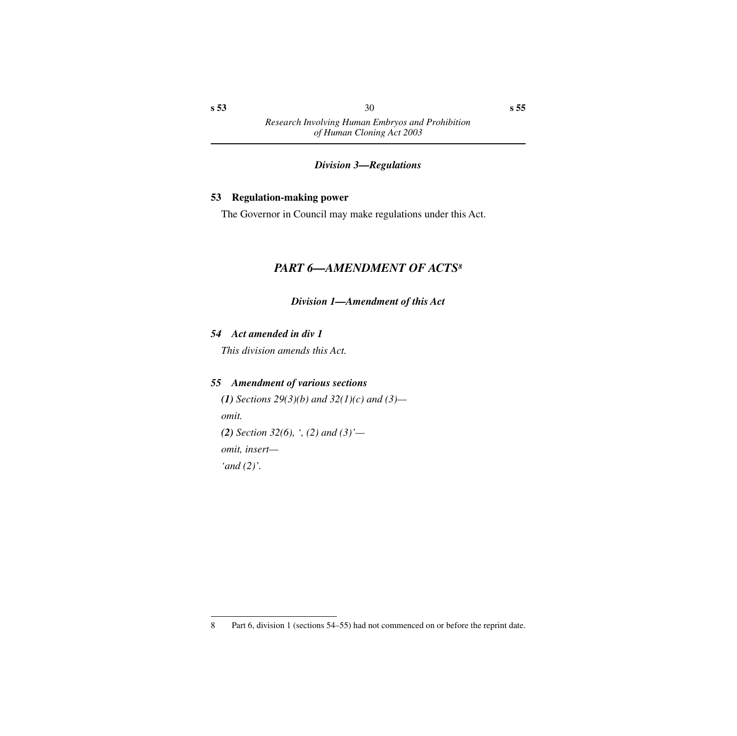#### *Division 3—Regulations*

#### <span id="page-31-1"></span><span id="page-31-0"></span>**53 Regulation-making power**

<span id="page-31-2"></span>The Governor in Council may make regulations under this Act.

## *PART 6—AMENDMENT OF ACTS8*

*Division 1—Amendment of this Act*

## <span id="page-31-4"></span><span id="page-31-3"></span>*54 Act amended in div 1*

*This division amends this Act.*

#### <span id="page-31-5"></span>*55 Amendment of various sections*

*(1) Sections 29(3)(b) and 32(1)(c) and (3) omit. (2) Section 32(6), ', (2) and (3)' omit, insert— 'and (2)'.*

<sup>8</sup> Part 6, division 1 (sections 54–55) had not commenced on or before the reprint date.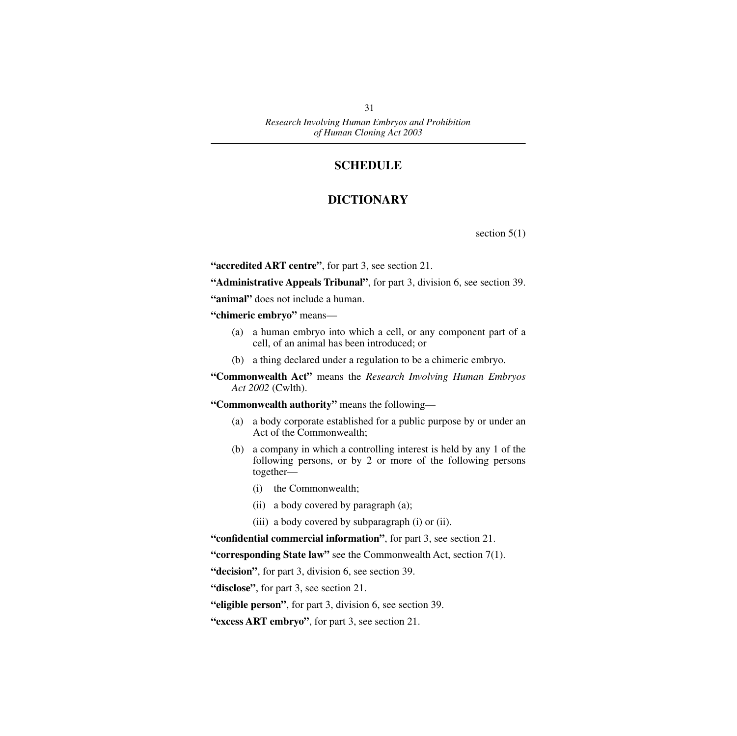## **SCHEDULE**

## **DICTIONARY**

section  $5(1)$ 

<span id="page-32-1"></span><span id="page-32-0"></span>**"accredited ART centre"**, for part 3, see section 21.

**"Administrative Appeals Tribunal"**, for part 3, division 6, see section 39.

**"animal"** does not include a human.

**"chimeric embryo"** means—

- (a) a human embryo into which a cell, or any component part of a cell, of an animal has been introduced; or
- (b) a thing declared under a regulation to be a chimeric embryo.
- **"Commonwealth Act"** means the *Research Involving Human Embryos Act 2002* (Cwlth).

**"Commonwealth authority"** means the following—

- (a) a body corporate established for a public purpose by or under an Act of the Commonwealth;
- (b) a company in which a controlling interest is held by any 1 of the following persons, or by 2 or more of the following persons together—
	- (i) the Commonwealth;
	- (ii) a body covered by paragraph (a);
	- (iii) a body covered by subparagraph (i) or (ii).

**"confidential commercial information"**, for part 3, see section 21.

**"corresponding State law"** see the Commonwealth Act, section 7(1).

**"decision"**, for part 3, division 6, see section 39.

**"disclose"**, for part 3, see section 21.

- **"eligible person"**, for part 3, division 6, see section 39.
- **"excess ART embryo"**, for part 3, see section 21.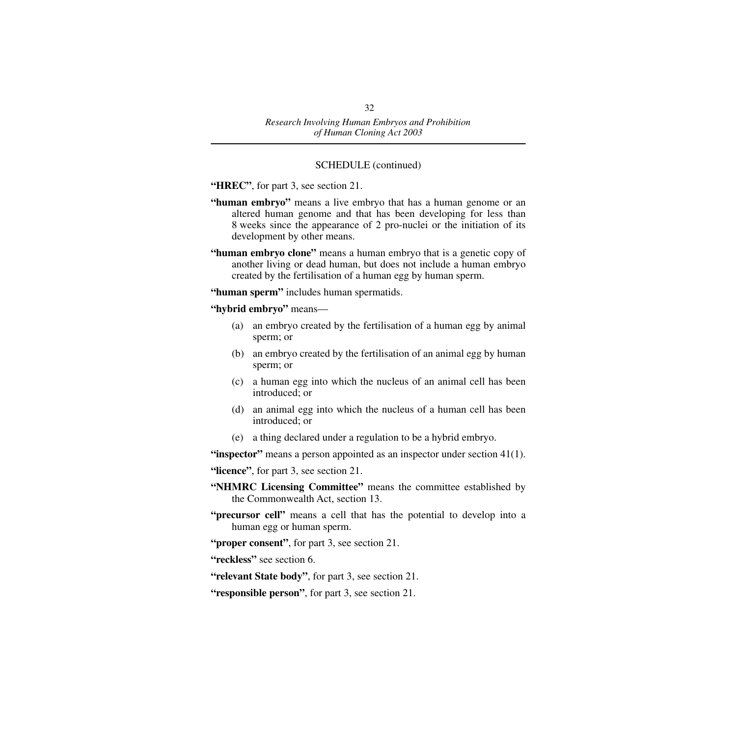#### SCHEDULE (continued)

**"HREC"**, for part 3, see section 21.

- **"human embryo"** means a live embryo that has a human genome or an altered human genome and that has been developing for less than 8 weeks since the appearance of 2 pro-nuclei or the initiation of its development by other means.
- **"human embryo clone"** means a human embryo that is a genetic copy of another living or dead human, but does not include a human embryo created by the fertilisation of a human egg by human sperm.

**"human sperm"** includes human spermatids.

**"hybrid embryo"** means—

- (a) an embryo created by the fertilisation of a human egg by animal sperm; or
- (b) an embryo created by the fertilisation of an animal egg by human sperm; or
- (c) a human egg into which the nucleus of an animal cell has been introduced; or
- (d) an animal egg into which the nucleus of a human cell has been introduced; or
- (e) a thing declared under a regulation to be a hybrid embryo.

**"inspector"** means a person appointed as an inspector under section 41(1).

**"licence"**, for part 3, see section 21.

- **"NHMRC Licensing Committee"** means the committee established by the Commonwealth Act, section 13.
- **"precursor cell"** means a cell that has the potential to develop into a human egg or human sperm.
- **"proper consent"**, for part 3, see section 21.
- **"reckless"** see section 6.
- **"relevant State body"**, for part 3, see section 21.
- **"responsible person"**, for part 3, see section 21.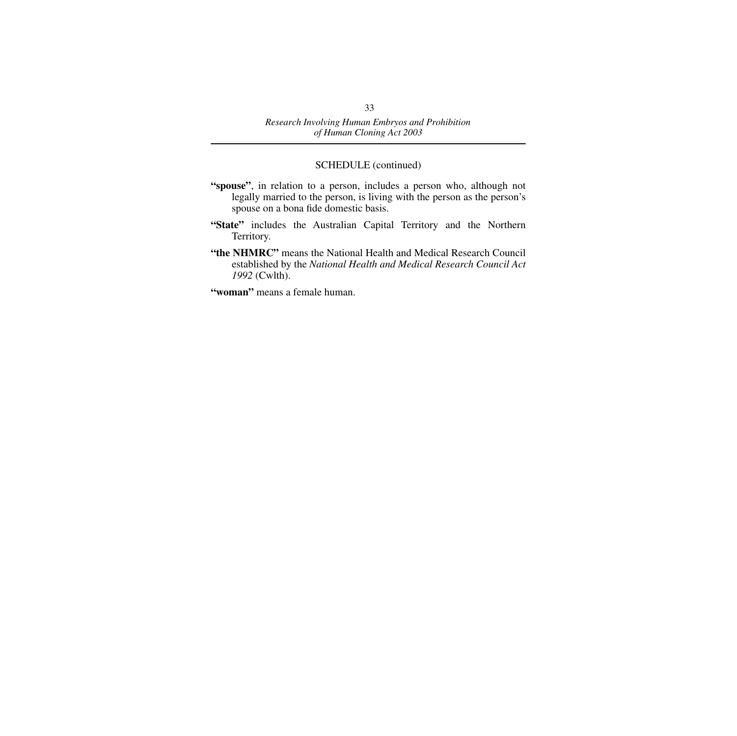#### SCHEDULE (continued)

- **"spouse"**, in relation to a person, includes a person who, although not legally married to the person, is living with the person as the person's spouse on a bona fide domestic basis.
- **"State"** includes the Australian Capital Territory and the Northern Territory.
- **"the NHMRC"** means the National Health and Medical Research Council established by the *National Health and Medical Research Council Act 1992* (Cwlth).
- **"woman"** means a female human.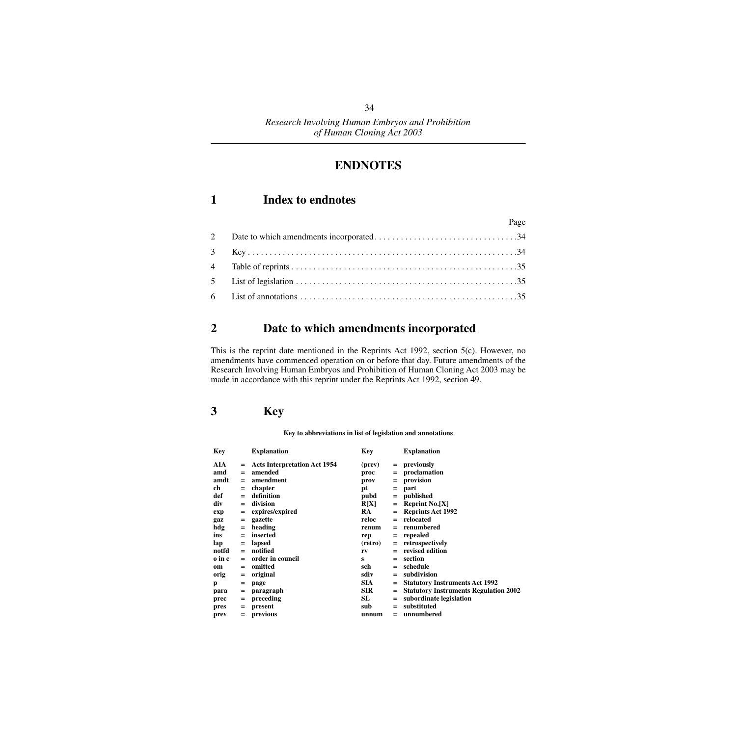## **ENDNOTES**

## <span id="page-35-1"></span><span id="page-35-0"></span>**1 Index to endnotes**

| $\Gamma$ age |  |
|--------------|--|
|              |  |
|              |  |
|              |  |
|              |  |
|              |  |

 $D<sub>2</sub>$ 

## <span id="page-35-2"></span>**2 Date to which amendments incorporated**

This is the reprint date mentioned in the Reprints Act 1992, section 5(c). However, no amendments have commenced operation on or before that day. Future amendments of the Research Involving Human Embryos and Prohibition of Human Cloning Act 2003 may be made in accordance with this reprint under the Reprints Act 1992, section 49.

## <span id="page-35-3"></span>**3 Key**

**Key to abbreviations in list of legislation and annotations**

| <b>Key</b> |     | <b>Explanation</b>                  | Key        |     | <b>Explanation</b>                           |
|------------|-----|-------------------------------------|------------|-----|----------------------------------------------|
| AIA        | $=$ | <b>Acts Interpretation Act 1954</b> | (prev)     | $=$ | previously                                   |
| amd        | $=$ | amended                             | proc       | $=$ | proclamation                                 |
| amdt       | $=$ | amendment                           | prov       | $=$ | provision                                    |
| ch         | $=$ | chapter                             | рt         | $=$ | part                                         |
| def        | $=$ | definition                          | pubd       | $=$ | published                                    |
| div        | $=$ | division                            | R[X]       |     | $=$ Reprint No.[X]                           |
| exp        | Ξ   | expires/expired                     | RA.        |     | <b>Reprints Act 1992</b>                     |
| gaz        | $=$ | gazette                             | reloc      | $=$ | relocated                                    |
| hdg        | Ξ   | heading                             | renum      |     | renumbered                                   |
| ins        | $=$ | inserted                            | rep        | $=$ | repealed                                     |
| lap        | $=$ | lapsed                              | (retro)    | $=$ | retrospectively                              |
| notfd      | $=$ | notified                            | rv         |     | revised edition                              |
| o in c     | $=$ | order in council                    | s          | $=$ | section                                      |
| om         | $=$ | omitted                             | sch        | $=$ | schedule                                     |
| orig       | $=$ | original                            | sdiv       | $=$ | subdivision                                  |
| p          | =   | page                                | SIA.       | $=$ | <b>Statutory Instruments Act 1992</b>        |
| para       | Ξ   | paragraph                           | <b>SIR</b> | $=$ | <b>Statutory Instruments Regulation 2002</b> |
| prec       | $=$ | preceding                           | SL         | $=$ | subordinate legislation                      |
| pres       | $=$ | present                             | sub        | $=$ | substituted                                  |
| prev       | $=$ | previous                            | unnum      | $=$ | unnumbered                                   |